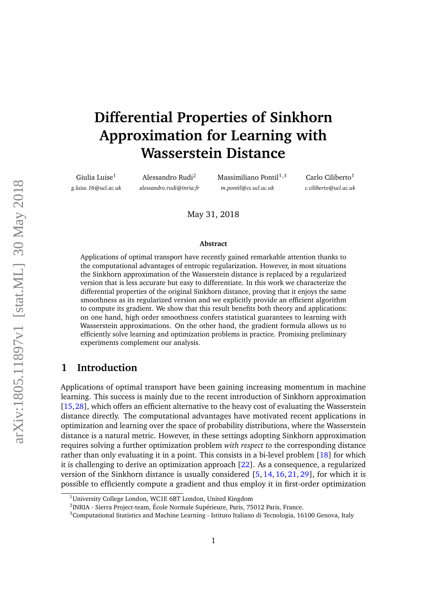# **Differential Properties of Sinkhorn Approximation for Learning with Wasserstein Distance**

Giulia Luise<sup>1</sup> *g.luise.16@ucl.ac.uk*

Alessandro Rudi<sup>2</sup> *alessandro.rudi@inria.fr* Massimiliano Pontil $1,3$ *m.pontil@cs.ucl.ac.uk*

Carlo Ciliberto<sup>1</sup> *c.ciliberto@ucl.ac.uk*

May 31, 2018

#### **Abstract**

Applications of optimal transport have recently gained remarkable attention thanks to the computational advantages of entropic regularization. However, in most situations the Sinkhorn approximation of the Wasserstein distance is replaced by a regularized version that is less accurate but easy to differentiate. In this work we characterize the differential properties of the original Sinkhorn distance, proving that it enjoys the same smoothness as its regularized version and we explicitly provide an efficient algorithm to compute its gradient. We show that this result benefits both theory and applications: on one hand, high order smoothness confers statistical guarantees to learning with Wasserstein approximations. On the other hand, the gradient formula allows us to efficiently solve learning and optimization problems in practice. Promising preliminary experiments complement our analysis.

# **1 Introduction**

Applications of optimal transport have been gaining increasing momentum in machine learning. This success is mainly due to the recent introduction of Sinkhorn approximation [\[15,](#page-14-0)[28\]](#page-15-0), which offers an efficient alternative to the heavy cost of evaluating the Wasserstein distance directly. The computational advantages have motivated recent applications in optimization and learning over the space of probability distributions, where the Wasserstein distance is a natural metric. However, in these settings adopting Sinkhorn approximation requires solving a further optimization problem *with respect to* the corresponding distance rather than only evaluating it in a point. This consists in a bi-level problem [\[18\]](#page-14-1) for which it is challenging to derive an optimization approach [\[22\]](#page-14-2). As a consequence, a regularized version of the Sinkhorn distance is usually considered [\[5,](#page-13-0) [14,](#page-14-3) [16,](#page-14-4) [21,](#page-14-5) [29\]](#page-15-1), for which it is possible to efficiently compute a gradient and thus employ it in first-order optimization

<sup>1</sup>University College London, WC1E 6BT London, United Kingdom

 $^{2}$ INRIA - Sierra Project-team, École Normale Supérieure, Paris, 75012 Paris, France.

<sup>&</sup>lt;sup>3</sup>Computational Statistics and Machine Learning - Istituto Italiano di Tecnologia, 16100 Genova, Italy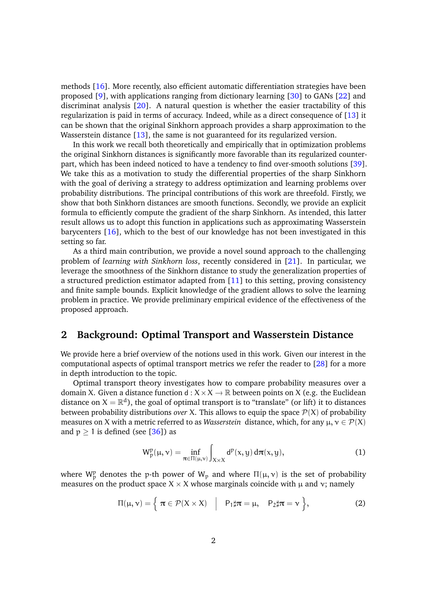methods [\[16\]](#page-14-4). More recently, also efficient automatic differentiation strategies have been proposed [\[9\]](#page-13-1), with applications ranging from dictionary learning [\[30\]](#page-15-2) to GANs [\[22\]](#page-14-2) and discriminat analysis [\[20\]](#page-14-6). A natural question is whether the easier tractability of this regularization is paid in terms of accuracy. Indeed, while as a direct consequence of [\[13\]](#page-14-7) it can be shown that the original Sinkhorn approach provides a sharp approximation to the Wasserstein distance [\[13\]](#page-14-7), the same is not guaranteed for its regularized version.

In this work we recall both theoretically and empirically that in optimization problems the original Sinkhorn distances is significantly more favorable than its regularized counterpart, which has been indeed noticed to have a tendency to find over-smooth solutions [\[39\]](#page-16-0). We take this as a motivation to study the differential properties of the sharp Sinkhorn with the goal of deriving a strategy to address optimization and learning problems over probability distributions. The principal contributions of this work are threefold. Firstly, we show that both Sinkhorn distances are smooth functions. Secondly, we provide an explicit formula to efficiently compute the gradient of the sharp Sinkhorn. As intended, this latter result allows us to adopt this function in applications such as approximating Wasserstein barycenters [\[16\]](#page-14-4), which to the best of our knowledge has not been investigated in this setting so far.

As a third main contribution, we provide a novel sound approach to the challenging problem of *learning with Sinkhorn loss*, recently considered in [\[21\]](#page-14-5). In particular, we leverage the smoothness of the Sinkhorn distance to study the generalization properties of a structured prediction estimator adapted from [\[11\]](#page-13-2) to this setting, proving consistency and finite sample bounds. Explicit knowledge of the gradient allows to solve the learning problem in practice. We provide preliminary empirical evidence of the effectiveness of the proposed approach.

# **2 Background: Optimal Transport and Wasserstein Distance**

We provide here a brief overview of the notions used in this work. Given our interest in the computational aspects of optimal transport metrics we refer the reader to [\[28\]](#page-15-0) for a more in depth introduction to the topic.

Optimal transport theory investigates how to compare probability measures over a domain X. Given a distance function  $d: X \times X \to \mathbb{R}$  between points on X (e.g. the Euclidean distance on  $X = \mathbb{R}^d$ ), the goal of optimal transport is to "translate" (or lift) it to distances between probability distributions *over* X. This allows to equip the space  $P(X)$  of probability measures on X with a metric referred to as *Wasserstein* distance, which, for any  $\mu, \nu \in \mathcal{P}(X)$ and  $p \ge 1$  is defined (see [\[36\]](#page-15-3)) as

<span id="page-1-0"></span>
$$
W_p^p(\mu, \nu) = \inf_{\pi \in \Pi(\mu, \nu)} \int_{X \times X} d^p(x, y) d\pi(x, y), \tag{1}
$$

where  $W_p^p$  denotes the p-th power of  $W_p$  and where  $\Pi(\mu, \nu)$  is the set of probability measures on the product space  $X \times X$  whose marginals coincide with  $\mu$  and  $\nu$ ; namely

$$
\Pi(\mu, \nu) = \left\{ \pi \in \mathcal{P}(X \times X) \quad \middle| \quad P_1 \sharp \pi = \mu, \quad P_2 \sharp \pi = \nu \right\},\tag{2}
$$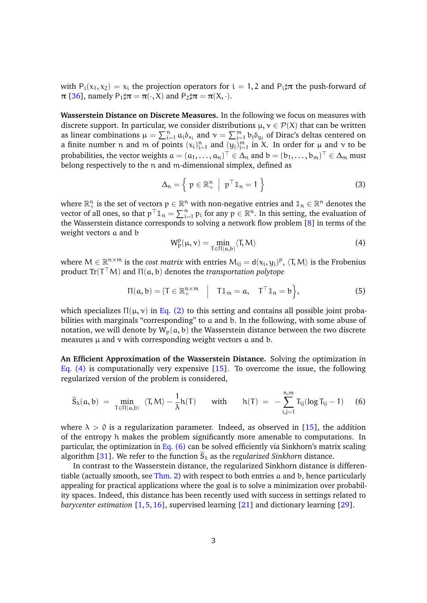with  $P_i(x_1, x_2) = x_i$  the projection operators for  $i = 1, 2$  and  $P_i \sharp \pi$  the push-forward of  $\pi$  [\[36\]](#page-15-3), namely P<sub>1</sub> $\sharp \pi = \pi(\cdot, X)$  and P<sub>2</sub> $\sharp \pi = \pi(X, \cdot)$ .

**Wasserstein Distance on Discrete Measures.** In the following we focus on measures with discrete support. In particular, we consider distributions  $\mu, \nu \in \mathcal{P}(X)$  that can be written as linear combinations  $\mu = \sum_{i=1}^n a_i \delta_{x_i}$  and  $\nu = \sum_{j=1}^m b_j \delta_{y_j}$  of Dirac's deltas centered on a finite number n and m of points  $(x_i)_{i=1}^n$  and  $(y_j)_{j=1}^m$  in X. In order for  $\mu$  and  $\nu$  to be probabilities, the vector weights  $a=(a_1,\ldots,a_n)^\top\in\Delta_{\mathfrak n}$  and  $b=(b_1,\ldots,b_m)^\top\in\Delta_{\mathfrak m}$  must belong respectively to the n and m-dimensional simplex, defined as

$$
\Delta_n = \left\{ p \in \mathbb{R}^n_+ \middle| p^\top \mathbb{1}_n = 1 \right\}
$$
 (3)

where  $\mathbb{R}^n_+$  is the set of vectors  $p\in\mathbb{R}^n$  with non-negative entries and  $\mathbb{1}_n\in\mathbb{R}^n$  denotes the vector of all ones, so that  $p^{\top} \mathbb{1}_n = \sum_{i=1}^n p_i$  for any  $p \in \mathbb{R}^n$ . In this setting, the evaluation of the Wasserstein distance corresponds to solving a network flow problem [\[8\]](#page-13-3) in terms of the weight vectors a and b

<span id="page-2-0"></span>
$$
W_p^p(\mu, \nu) = \min_{T \in \Pi(a, b)} \langle T, M \rangle \tag{4}
$$

where  $M \in \mathbb{R}^{n \times m}$  is the *cost matrix* with entries  $M_{ij} = d(x_i, y_j)^p$ ,  $\langle T, M \rangle$  is the Frobenius product  $Tr(T^{\top}M)$  and  $\Pi(a, b)$  denotes the *transportation polytope* 

<span id="page-2-1"></span>
$$
\Pi(a,b) = \{ T \in \mathbb{R}_+^{n \times m} \mid T1_m = a, TT1_n = b \},
$$
 (5)

which specializes  $\Pi(\mu, \nu)$  in [Eq. \(2\)](#page-1-0) to this setting and contains all possible joint probabilities with marginals "corresponding" to a and b. In the following, with some abuse of notation, we will denote by  $W_p(a, b)$  the Wasserstein distance between the two discrete measures  $\mu$  and  $\nu$  with corresponding weight vectors a and b.

**An Efficient Approximation of the Wasserstein Distance.** Solving the optimization in [Eq. \(4\)](#page-2-0) is computationally very expensive [\[15\]](#page-14-0). To overcome the issue, the following regularized version of the problem is considered,

$$
\widetilde{S}_{\lambda}(a,b)\;=\;\min_{T\in\Pi(a,b)}\;\left\langle T,M\right\rangle-\frac{1}{\lambda}h(T)\qquad\text{with}\qquad h(T)\;=\;-\sum_{i,j=1}^{n,m}T_{ij}(\log T_{ij}-1)\hspace{0.5cm}(6)
$$

where  $\lambda > 0$  is a regularization parameter. Indeed, as observed in [\[15\]](#page-14-0), the addition of the entropy h makes the problem significantly more amenable to computations. In particular, the optimization in [Eq. \(6\)](#page-2-1) can be solved efficiently via Sinkhorn's matrix scaling algorithm [\[31\]](#page-15-4). We refer to the function  $S_{\lambda}$  as the *regularized Sinkhorn* distance.

In contrast to the Wasserstein distance, the regularized Sinkhorn distance is differentiable (actually smooth, see [Thm. 2\)](#page-5-0) with respect to both entries a and b, hence particularly appealing for practical applications where the goal is to solve a minimization over probability spaces. Indeed, this distance has been recently used with success in settings related to *barycenter estimation* [\[1,](#page-13-4)[5,](#page-13-0)[16\]](#page-14-4), supervised learning [\[21\]](#page-14-5) and dictionary learning [\[29\]](#page-15-1).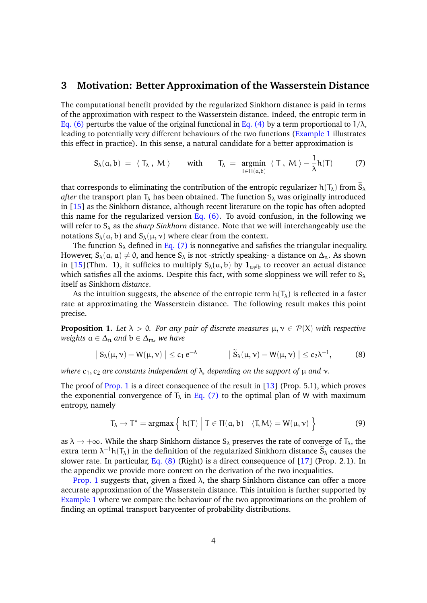#### <span id="page-3-3"></span>**3 Motivation: Better Approximation of the Wasserstein Distance**

The computational benefit provided by the regularized Sinkhorn distance is paid in terms of the approximation with respect to the Wasserstein distance. Indeed, the entropic term in [Eq. \(6\)](#page-2-1) perturbs the value of the original functional in [Eq. \(4\)](#page-2-0) by a term proportional to  $1/\lambda$ , leading to potentially very different behaviours of the two functions [\(Example 1](#page-4-0) illustrates this effect in practice). In this sense, a natural candidate for a better approximation is

<span id="page-3-0"></span>
$$
S_{\lambda}(a,b) = \langle T_{\lambda}, M \rangle \quad \text{with} \quad T_{\lambda} = \underset{T \in \Pi(a,b)}{\text{argmin}} \langle T, M \rangle - \frac{1}{\lambda} h(T) \quad (7)
$$

that corresponds to eliminating the contribution of the entropic regularizer  $h(T_\lambda)$  from  $\tilde{S}_\lambda$ *after* the transport plan  $T_{\lambda}$  has been obtained. The function  $S_{\lambda}$  was originally introduced in [\[15\]](#page-14-0) as the Sinkhorn distance, although recent literature on the topic has often adopted this name for the regularized version Eq.  $(6)$ . To avoid confusion, in the following we will refer to  $S_\lambda$  as the *sharp Sinkhorn* distance. Note that we will interchangeably use the notations  $S_{\lambda}(\alpha, b)$  and  $S_{\lambda}(\mu, \nu)$  where clear from the context.

The function  $S_\lambda$  defined in [Eq. \(7\)](#page-3-0) is nonnegative and safisfies the triangular inequality. However,  $S_\lambda(\alpha, \alpha) \neq 0$ , and hence  $S_\lambda$  is not -strictly speaking- a distance on  $\Delta_n$ . As shown in [\[15\]](#page-14-0)(Thm. 1), it sufficies to multiply  $S_\lambda(a, b)$  by  $\mathbf{1}_{a \neq b}$  to recover an actual distance which satisfies all the axioms. Despite this fact, with some sloppiness we will refer to  $S_\lambda$ itself as Sinkhorn *distance*.

As the intuition suggests, the absence of the entropic term  $h(T_\lambda)$  is reflected in a faster rate at approximating the Wasserstein distance. The following result makes this point precise.

<span id="page-3-1"></span>**Proposition 1.** Let  $\lambda > 0$ . For any pair of discrete measures  $\mu, \nu \in \mathcal{P}(X)$  with respective *weights*  $a \in \Delta_n$  *and*  $b \in \Delta_m$ *, we have* 

$$
\left| S_{\lambda}(\mu, \nu) - W(\mu, \nu) \right| \leq c_1 e^{-\lambda} \qquad \left| \tilde{S}_{\lambda}(\mu, \nu) - W(\mu, \nu) \right| \leq c_2 \lambda^{-1}, \qquad (8)
$$

*where*  $c_1$ ,  $c_2$  *are constants independent of*  $\lambda$ , *depending on the support of*  $\mu$  *and*  $\nu$ *.* 

The proof of [Prop. 1](#page-3-1) is a direct consequence of the result in [\[13\]](#page-14-7) (Prop. 5.1), which proves the exponential convergence of  $T_{\lambda}$  in [Eq. \(7\)](#page-3-0) to the optimal plan of W with maximum entropy, namely

<span id="page-3-2"></span>
$$
T_{\lambda} \to T^* = \operatorname{argmax} \left\{ h(T) \mid T \in \Pi(a, b) \quad \langle T, M \rangle = W(\mu, \nu) \right\}
$$
(9)

as  $\lambda \to +\infty$ . While the sharp Sinkhorn distance S<sub> $\lambda$ </sub> preserves the rate of converge of T<sub> $\lambda$ </sub>, the extra term  $\lambda^{-1}h(T_\lambda)$  in the definition of the regularized Sinkhorn distance  $\widetilde{S}_\lambda$  causes the slower rate. In particular, Eq.  $(8)$  (Right) is a direct consequence of  $[17]$  (Prop. 2.1). In the appendix we provide more context on the derivation of the two inequalities.

[Prop. 1](#page-3-1) suggests that, given a fixed  $\lambda$ , the sharp Sinkhorn distance can offer a more accurate approximation of the Wasserstein distance. This intuition is further supported by [Example 1](#page-4-0) where we compare the behaviour of the two approximations on the problem of finding an optimal transport barycenter of probability distributions.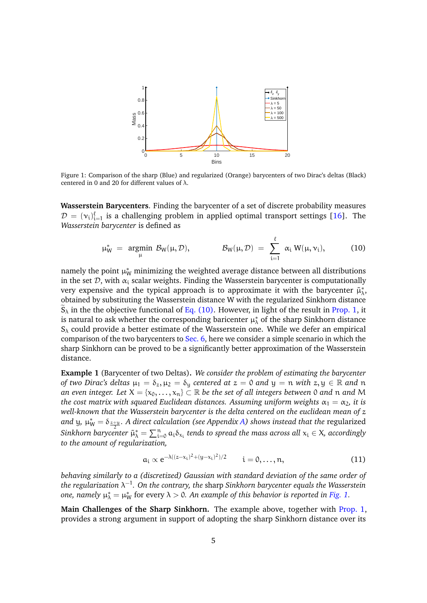<span id="page-4-2"></span>

Figure 1: Comparison of the sharp (Blue) and regularized (Orange) barycenters of two Dirac's deltas (Black) centered in 0 and 20 for different values of  $\lambda$ .

**Wasserstein Barycenters**. Finding the barycenter of a set of discrete probability measures  $D = (v_i)_{i=1}^{\ell}$  is a challenging problem in applied optimal transport settings [\[16\]](#page-14-4). The *Wasserstein barycenter* is defined as

<span id="page-4-1"></span>
$$
\mu_W^* = \underset{\mu}{\text{argmin}} \ \mathcal{B}_W(\mu, \mathcal{D}), \qquad \qquad \mathcal{B}_W(\mu, \mathcal{D}) = \sum_{i=1}^{\ell} \alpha_i \ W(\mu, \nu_i), \qquad \qquad (10)
$$

namely the point  $\mu^*_W$  minimizing the weighted average distance between all distributions in the set  $D$ , with  $\alpha_i$  scalar weights. Finding the Wasserstein barycenter is computationally very expensive and the typical approach is to approximate it with the barycenter  $\tilde{\mu}^*_{\lambda}$ , obtained by substituting the Wasserstein distance W with the regularized Sinkhorn distance  $\widetilde{S}_{\lambda}$  in the the objective functional of [Eq. \(10\).](#page-4-1) However, in light of the result in [Prop. 1,](#page-3-1) it is natural to ask whether the corresponding baricenter  $\mu^*_\lambda$  of the sharp Sinkhorn distance  $S_{\lambda}$  could provide a better estimate of the Wasserstein one. While we defer an empirical comparison of the two barycenters to [Sec. 6,](#page-11-0) here we consider a simple scenario in which the sharp Sinkhorn can be proved to be a significantly better approximation of the Wasserstein distance.

<span id="page-4-0"></span>**Example 1** (Barycenter of two Deltas)**.** *We consider the problem of estimating the barycenter of two Dirac's deltas*  $\mu_1 = \delta_z, \mu_2 = \delta_y$  *centered at*  $z = 0$  *and*  $y = n$  *with*  $z, y \in \mathbb{R}$  *and* n *an even integer. Let*  $X = \{x_0, \ldots, x_n\} \subset \mathbb{R}$  *be the set of all integers between* 0 *and n and* M *the cost matrix with squared Euclidean distances. Assuming uniform weights*  $\alpha_1 = \alpha_2$ , *it is well-known that the Wasserstein barycenter is the delta centered on the euclidean mean of* z and y,  $\mu^*_W = \delta_{\frac{Z+Y}{2}}$ . A direct calculation (see Appendix [A\)](#page-17-0) shows instead that the regularized  $Sinkhorn$  barycenter  $\tilde{\mu}^*_{\lambda} = \sum_{i=0}^n a_i \delta_{x_i}$  tends to spread the mass across all  $x_i \in X$ , accordingly *to the amount of regularization,*

$$
a_i \propto e^{-\lambda((z-x_i)^2 + (y-x_i)^2)/2} \qquad i = 0, \ldots, n,
$$
 (11)

*behaving similarly to a (discretized) Gaussian with standard deviation of the same order of the regularization* λ −1 *. On the contrary, the* sharp *Sinkhorn barycenter equals the Wasserstein one, namely*  $\mu_{\lambda}^{*} = \mu_{W}^{*}$  for every  $\lambda > 0$ . An example of this behavior is reported in [Fig. 1.](#page-4-2)

**Main Challenges of the Sharp Sinkhorn.** The example above, together with [Prop. 1,](#page-3-1) provides a strong argument in support of adopting the sharp Sinkhorn distance over its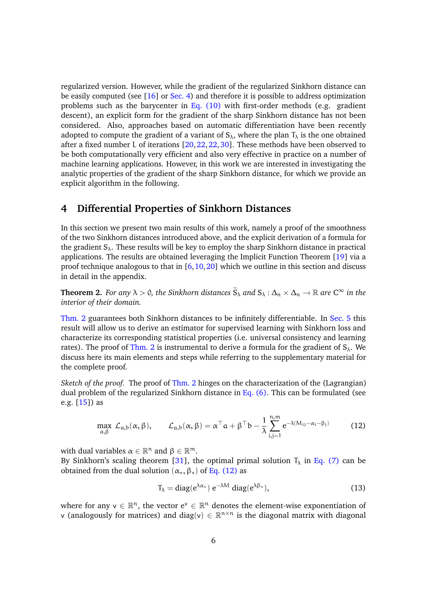regularized version. However, while the gradient of the regularized Sinkhorn distance can be easily computed (see [\[16\]](#page-14-4) or [Sec. 4\)](#page-5-1) and therefore it is possible to address optimization problems such as the barycenter in Eq.  $(10)$  with first-order methods (e.g. gradient descent), an explicit form for the gradient of the sharp Sinkhorn distance has not been considered. Also, approaches based on automatic differentiation have been recently adopted to compute the gradient of a variant of  $S_{\lambda}$ , where the plan  $T_{\lambda}$  is the one obtained after a fixed number L of iterations  $[20, 22, 22, 30]$  $[20, 22, 22, 30]$  $[20, 22, 22, 30]$ . These methods have been observed to be both computationally very efficient and also very effective in practice on a number of machine learning applications. However, in this work we are interested in investigating the analytic properties of the gradient of the sharp Sinkhorn distance, for which we provide an explicit algorithm in the following.

# <span id="page-5-1"></span>**4 Differential Properties of Sinkhorn Distances**

In this section we present two main results of this work, namely a proof of the smoothness of the two Sinkhorn distances introduced above, and the explicit derivation of a formula for the gradient  $S_{\lambda}$ . These results will be key to employ the sharp Sinkhorn distance in practical applications. The results are obtained leveraging the Implicit Function Theorem [\[19\]](#page-14-9) via a proof technique analogous to that in  $[6,10,20]$  $[6,10,20]$  $[6,10,20]$  which we outline in this section and discuss in detail in the appendix.

<span id="page-5-0"></span>**Theorem 2.** *For any*  $\lambda > 0$ *, the Sinkhorn distances*  $\widetilde{S}_{\lambda}$  *and*  $S_{\lambda} : \Delta_n \times \Delta_n \to \mathbb{R}$  *are*  $C^{\infty}$  *in the interior of their domain.*

[Thm. 2](#page-5-0) guarantees both Sinkhorn distances to be infinitely differentiable. In [Sec. 5](#page-8-0) this result will allow us to derive an estimator for supervised learning with Sinkhorn loss and characterize its corresponding statistical properties (i.e. universal consistency and learning rates). The proof of [Thm. 2](#page-5-0) is instrumental to derive a formula for the gradient of  $S_\lambda$ . We discuss here its main elements and steps while referring to the supplementary material for the complete proof.

*Sketch of the proof.* The proof of [Thm. 2](#page-5-0) hinges on the characterization of the (Lagrangian) dual problem of the regularized Sinkhorn distance in [Eq. \(6\).](#page-2-1) This can be formulated (see e.g. [\[15\]](#page-14-0)) as

$$
\max_{\alpha,\beta} \mathcal{L}_{a,b}(\alpha,\beta), \qquad \mathcal{L}_{a,b}(\alpha,\beta) = \alpha^{\top} a + \beta^{\top} b - \frac{1}{\lambda} \sum_{i,j=1}^{n,m} e^{-\lambda(M_{ij} - \alpha_i - \beta_j)}
$$
(12)

with dual variables  $\alpha \in \mathbb{R}^n$  and  $\beta \in \mathbb{R}^m$ .

By Sinkhorn's scaling theorem [\[31\]](#page-15-4), the optimal primal solution  $T_{\lambda}$  in [Eq. \(7\)](#page-3-0) can be obtained from the dual solution  $(\alpha_*, \beta_*)$  of [Eq. \(12\)](#page-5-2) as

<span id="page-5-3"></span><span id="page-5-2"></span>
$$
T_{\lambda} = \text{diag}(e^{\lambda \alpha_*}) e^{-\lambda M} \text{ diag}(e^{\lambda \beta_*}), \qquad (13)
$$

where for any  $v \in \mathbb{R}^n$ , the vector  $e^v \in \mathbb{R}^n$  denotes the element-wise exponentiation of v (analogously for matrices) and diag(v)  $\in \mathbb{R}^{n \times n}$  is the diagonal matrix with diagonal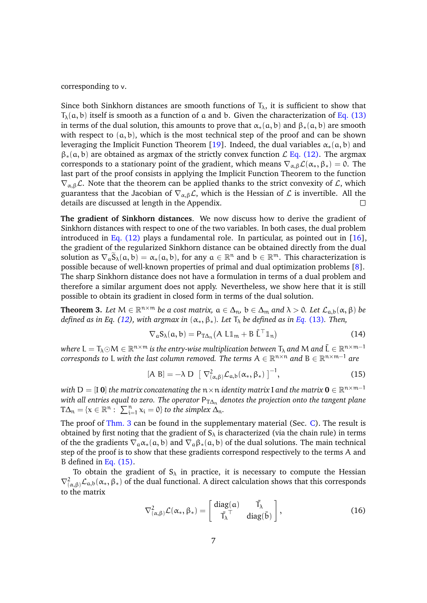corresponding to v.

Since both Sinkhorn distances are smooth functions of  $T_{\lambda}$ , it is sufficient to show that  $T_{\lambda}(\mathfrak{a},\mathfrak{b})$  itself is smooth as a function of a and b. Given the characterization of [Eq. \(13\)](#page-5-3) in terms of the dual solution, this amounts to prove that  $\alpha_*(a, b)$  and  $\beta_*(a, b)$  are smooth with respect to  $(a, b)$ , which is the most technical step of the proof and can be shown leveraging the Implicit Function Theorem [\[19\]](#page-14-9). Indeed, the dual variables  $\alpha_*(a, b)$  and  $\beta_*(a, b)$  are obtained as argmax of the strictly convex function  $\mathcal{L}$  [Eq. \(12\).](#page-5-2) The argmax corresponds to a stationary point of the gradient, which means  $\nabla_{\alpha,\beta} \mathcal{L}(\alpha_*, \beta_*) = 0$ . The last part of the proof consists in applying the Implicit Function Theorem to the function  $\nabla_{\alpha,\beta}\mathcal{L}$ . Note that the theorem can be applied thanks to the strict convexity of  $\mathcal{L}$ , which guarantess that the Jacobian of  $\nabla_{\alpha,\beta} \mathcal{L}$ , which is the Hessian of  $\mathcal{L}$  is invertible. All the details are discussed at length in the Appendix.

**The gradient of Sinkhorn distances**. We now discuss how to derive the gradient of Sinkhorn distances with respect to one of the two variables. In both cases, the dual problem introduced in Eq.  $(12)$  plays a fundamental role. In particular, as pointed out in [\[16\]](#page-14-4), the gradient of the regularized Sinkhorn distance can be obtained directly from the dual solution as  $\nabla_{\alpha} \widetilde{S}_{\lambda}(\alpha, b) = \alpha_*(\alpha, b)$ , for any  $\alpha \in \mathbb{R}^n$  and  $b \in \mathbb{R}^m$ . This characterization is possible because of well-known properties of primal and dual optimization problems [\[8\]](#page-13-3). The sharp Sinkhorn distance does not have a formulation in terms of a dual problem and therefore a similar argument does not apply. Nevertheless, we show here that it is still possible to obtain its gradient in closed form in terms of the dual solution.

<span id="page-6-0"></span>**Theorem 3.** Let  $M \in \mathbb{R}^{n \times m}$  be a cost matrix,  $a \in \Delta_n$ ,  $b \in \Delta_m$  and  $\lambda > 0$ . Let  $\mathcal{L}_{a,b}(\alpha, \beta)$  be *defined as in Eq. [\(12\)](#page-5-2), with argmax in*  $(\alpha_*, \beta_*)$ *. Let*  $T_\lambda$  *be defined as in Eq. [\(13\)](#page-5-3). Then,* 

<span id="page-6-2"></span><span id="page-6-1"></span>
$$
\nabla_{a} S_{\lambda}(a, b) = P_{T\Delta_{n}}(A L \mathbb{1}_{m} + B \bar{L}^{\top} \mathbb{1}_{n})
$$
(14)

where  $L = T_\lambda \odot M \in \R^{n \times m}$  is the entry-wise multiplication between  $T_\lambda$  and  $M$  and  $\bar{\sf L} \in \R^{n \times m-1}$  $\mathfrak{c}$  *orresponds to* L with the last column removed. The terms  $\mathsf{A} \in \mathbb{R}^{n \times n}$  and  $\mathsf{B} \in \mathbb{R}^{n \times m-1}$  are

$$
[A \ B] = -\lambda \ D \ \left[ \ \nabla^2_{(\alpha,\beta)} \mathcal{L}_{a,b}(\alpha_*,\beta_*) \ \right]^{-1}, \tag{15}
$$

with  $D = [I \ 0]$  the matrix concatenating the  $n \times n$  identity matrix I and the matrix  $\mathbf{0} \in \mathbb{R}^{n \times m-1}$ *with all entries equal to zero. The operator*  $P_{T\Delta n}$  *denotes the projection onto the tangent plane*  $T\Delta_n = \{x \in \mathbb{R}^n : \sum_{i=1}^n x_i = 0\}$  to the simplex  $\Delta_n$ .

The proof of [Thm. 3](#page-6-0) can be found in the supplementary material (Sec. [C\)](#page-19-0). The result is obtained by first noting that the gradient of  $S_\lambda$  is characterized (via the chain rule) in terms of the the gradients  $\nabla_a \alpha_*(a, b)$  and  $\nabla_a \beta_*(a, b)$  of the dual solutions. The main technical step of the proof is to show that these gradients correspond respectively to the terms A and B defined in [Eq. \(15\).](#page-6-1)

To obtain the gradient of  $S_\lambda$  in practice, it is necessary to compute the Hessian  $\nabla^2_{(\alpha,\beta)}\mathcal{L}_{a,b}(\alpha_*,\beta_*)$  of the dual functional. A direct calculation shows that this corresponds to the matrix

<span id="page-6-3"></span>
$$
\nabla^2_{(\alpha,\beta)} \mathcal{L}(\alpha_*, \beta_*) = \begin{bmatrix} \text{diag}(\alpha) & \bar{\mathsf{T}}_{\lambda} \\ \bar{\mathsf{T}}_{\lambda}^{\ \top} & \text{diag}(\bar{\mathsf{b}}) \end{bmatrix},\tag{16}
$$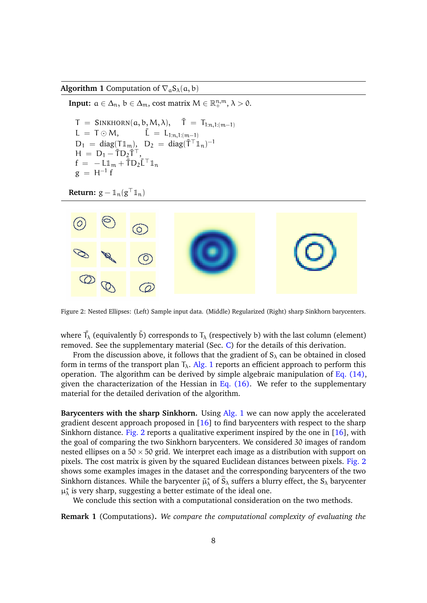<span id="page-7-0"></span>**Algorithm 1** Computation of  $\nabla_{\alpha}S_{\lambda}(\alpha, b)$ 

**Input:**  $a \in \Delta_n$ ,  $b \in \Delta_m$ , cost matrix  $M \in \mathbb{R}_+^{n,m}$ ,  $\lambda > 0$ .

 $T = \text{SINKHORN}(\alpha, \mathbf{b}, \mathbf{M}, \lambda), \quad \bar{T} = T_{1:n,1:(m-1)}$  $L = T \odot M,$   $\tilde{L} = L_{1:n,1:(m-1)}$  $D_1 = \text{diag}(\mathsf{T} \mathbb{1}_{\mathfrak{m}}), \quad D_2 = \text{diag}(\mathsf{T}^\top \mathbb{1}_{\mathfrak{m}})^{-1}$  $H = D_1 - \overline{T}D_2\overline{T}^T$ ,  $f = -L\mathbb{1}_m + \overline{T}D_2\overline{L}^\top\mathbb{1}_n$  $g = H^{-1} f$ 

**Return:**  $g - \mathbb{1}_n(g^{\top} \mathbb{1}_n)$ 

<span id="page-7-1"></span>

Figure 2: Nested Ellipses: (Left) Sample input data. (Middle) Regularized (Right) sharp Sinkhorn barycenters.

where  $\bar{T}_{\lambda}$  (equivalently  $\bar{b}$ ) corresponds to  $T_{\lambda}$  (respectively b) with the last column (element) removed. See the supplementary material (Sec. [C\)](#page-19-0) for the details of this derivation.

From the discussion above, it follows that the gradient of  $S_\lambda$  can be obtained in closed form in terms of the transport plan  $T_{\lambda}$ . [Alg. 1](#page-7-0) reports an efficient approach to perform this operation. The algorithm can be derived by simple algebraic manipulation of [Eq. \(14\),](#page-6-2) given the characterization of the Hessian in Eq.  $(16)$ . We refer to the supplementary material for the detailed derivation of the algorithm.

**Barycenters with the sharp Sinkhorn.** Using [Alg. 1](#page-7-0) we can now apply the accelerated gradient descent approach proposed in  $[16]$  to find barycenters with respect to the sharp Sinkhorn distance. [Fig. 2](#page-7-1) reports a qualitative experiment inspired by the one in  $[16]$ , with the goal of comparing the two Sinkhorn barycenters. We considered 30 images of random nested ellipses on a  $50 \times 50$  grid. We interpret each image as a distribution with support on pixels. The cost matrix is given by the squared Euclidean distances between pixels. [Fig. 2](#page-7-1) shows some examples images in the dataset and the corresponding barycenters of the two Sinkhorn distances. While the barycenter  $\tilde{\mu}^*_{\lambda}$  of  $\tilde{S}_{\lambda}$  suffers a blurry effect, the  $S_{\lambda}$  barycenter  $\mu_{\lambda}^{*}$  is very sharp, suggesting a better estimate of the ideal one.

We conclude this section with a computational consideration on the two methods.

<span id="page-7-2"></span>**Remark 1** (Computations)**.** *We compare the computational complexity of evaluating the*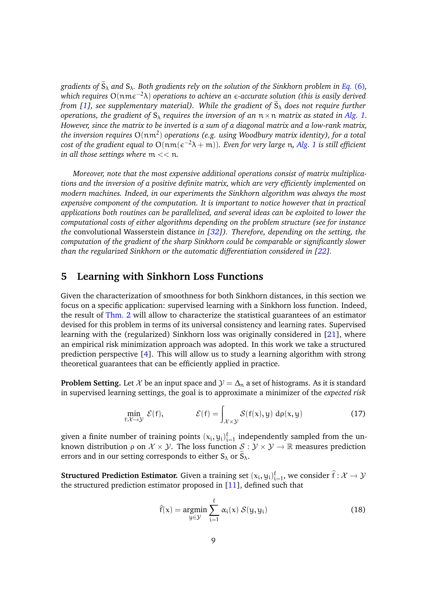*gradients of*  $\widetilde{S}_{\lambda}$  *and*  $S_{\lambda}$ *. Both gradients rely on the solution of the Sinkhorn problem in Eq.* [\(6\)](#page-2-1)*, which requires* O(nmε<sup>-2</sup>λ) *operations to achieve an ε-accurate solution (this is easily derived from [\[1\]](#page-13-4), see supplementary material). While the gradient of*  $\tilde{S}_{\lambda}$  *does not require further operations, the gradient of*  $S_\lambda$  *requires the inversion of an*  $n \times n$  *matrix as stated in [Alg. 1.](#page-7-0) However, since the matrix to be inverted is a sum of a diagonal matrix and a low-rank matrix, the inversion requires* O(nm<sup>2</sup> ) *operations (e.g. using Woodbury matrix identity), for a total cost of the gradient equal to* O(nm( <sup>−</sup>2λ + m))*. Even for very large* n*, [Alg. 1](#page-7-0) is still efficient in all those settings where* m << n*.*

*Moreover, note that the most expensive additional operations consist of matrix multiplications and the inversion of a positive definite matrix, which are very efficiently implemented on modern machines. Indeed, in our experiments the Sinkhorn algorithm was always the most expensive component of the computation. It is important to notice however that in practical applications both routines can be parallelized, and several ideas can be exploited to lower the computational costs of either algorithms depending on the problem structure (see for instance the* convolutional Wasserstein distance *in [\[32\]](#page-15-5)). Therefore, depending on the setting, the computation of the gradient of the sharp Sinkhorn could be comparable or significantly slower than the regularized Sinkhorn or the automatic differentiation considered in [\[22\]](#page-14-2)*.

## <span id="page-8-0"></span>**5 Learning with Sinkhorn Loss Functions**

Given the characterization of smoothness for both Sinkhorn distances, in this section we focus on a specific application: supervised learning with a Sinkhorn loss function. Indeed, the result of [Thm. 2](#page-5-0) will allow to characterize the statistical guarantees of an estimator devised for this problem in terms of its universal consistency and learning rates. Supervised learning with the (regularized) Sinkhorn loss was originally considered in [\[21\]](#page-14-5), where an empirical risk minimization approach was adopted. In this work we take a structured prediction perspective [\[4\]](#page-13-7). This will allow us to study a learning algorithm with strong theoretical guarantees that can be efficiently applied in practice.

**Problem Setting.** Let  $\mathcal{X}$  be an input space and  $\mathcal{Y} = \Delta_n$  a set of histograms. As it is standard in supervised learning settings, the goal is to approximate a minimizer of the *expected risk*

$$
\min_{f:\mathcal{X}\to\mathcal{Y}} \mathcal{E}(f), \qquad \qquad \mathcal{E}(f) = \int_{\mathcal{X}\times\mathcal{Y}} \mathcal{S}(f(x), y) \, d\rho(x, y) \tag{17}
$$

given a finite number of training points  $(x_i, y_i)_{i=1}^{\ell}$  independently sampled from the unknown distribution  $\rho$  on  $\mathcal{X} \times \mathcal{Y}$ . The loss function  $\mathcal{S} : \mathcal{Y} \times \mathcal{Y} \to \mathbb{R}$  measures prediction errors and in our setting corresponds to either  $S_\lambda$  or  $S_\lambda$ .

**Structured Prediction Estimator.** Given a training set  $(x_i, y_i)_{i=1}^{\ell}$ , we consider  $\hat{f}: \mathcal{X} \to \mathcal{Y}$ the structured prediction estimator proposed in  $[11]$ , defined such that

<span id="page-8-2"></span><span id="page-8-1"></span>
$$
\hat{f}(x) = \underset{y \in \mathcal{Y}}{\operatorname{argmin}} \sum_{i=1}^{\ell} \alpha_i(x) \mathcal{S}(y, y_i)
$$
(18)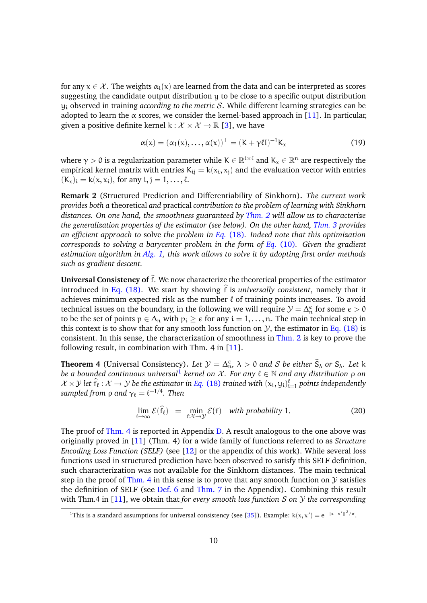for any  $x \in \mathcal{X}$ . The weights  $\alpha_i(x)$  are learned from the data and can be interpreted as scores suggesting the candidate output distribution y to be close to a specific output distribution y<sup>i</sup> observed in training *according to the metric* S. While different learning strategies can be adopted to learn the  $\alpha$  scores, we consider the kernel-based approach in [\[11\]](#page-13-2). In particular, given a positive definite kernel  $k : \mathcal{X} \times \mathcal{X} \to \mathbb{R}$  [\[3\]](#page-13-8), we have

<span id="page-9-2"></span>
$$
\alpha(x) = (\alpha_1(x), \dots, \alpha(x))^{\top} = (K + \gamma \ell I)^{-1} K_x
$$
\n(19)

where  $\gamma>0$  is a regularization parameter while  $\mathsf{K}\in\mathbb{R}^{\ell\times\ell}$  and  $\mathsf{K}_\mathsf{x}\in\mathbb{R}^\mathsf{n}$  are respectively the empirical kernel matrix with entries  $\mathsf{K}_{\mathsf{i}\mathsf{j}}=\mathsf{k}(\mathsf{x}_{\mathsf{i}},\mathsf{x}_{\mathsf{j}})$  and the evaluation vector with entries  $(K_x)_i = k(x, x_i)$ , for any  $i, j = 1, \ldots, \ell$ .

**Remark 2** (Structured Prediction and Differentiability of Sinkhorn)**.** *The current work provides both a* theoretical *and* practical *contribution to the problem of learning with Sinkhorn distances. On one hand, the smoothness guaranteed by [Thm. 2](#page-5-0) will allow us to characterize the generalization properties of the estimator (see below). On the other hand, [Thm. 3](#page-6-0) provides an efficient approach to* solve *the problem in Eq.* [\(18\)](#page-8-1)*. Indeed note that this optimization corresponds to solving a barycenter problem in the form of Eq.* [\(10\)](#page-4-1)*. Given the gradient estimation algorithm in [Alg. 1,](#page-7-0) this work allows to solve it by adopting first order methods such as gradient descent.*

**Universal Consistency of**  $\hat{f}$ . We now characterize the theoretical properties of the estimator introduced in Eq.  $(18)$ . We start by showing f is *universally consistent*, namely that it achieves minimum expected risk as the number  $\ell$  of training points increases. To avoid technical issues on the boundary, in the following we will require  $\mathcal{Y} = \Delta_n^{\epsilon}$  for some  $\epsilon > 0$ to be the set of points  $p \in \Delta_n$  with  $p_i \geq \epsilon$  for any  $i = 1, \ldots, n$ . The main technical step in this context is to show that for any smooth loss function on  $\mathcal{Y}$ , the estimator in [Eq. \(18\)](#page-8-1) is consistent. In this sense, the characterization of smoothness in [Thm. 2](#page-5-0) is key to prove the following result, in combination with Thm.  $4$  in  $[11]$ .

<span id="page-9-1"></span>**Theorem 4** (Universal Consistency). Let  $\mathcal{Y} = \Delta_{\mathfrak{w}}^{\epsilon}$ ,  $\lambda > 0$  and S be either  $\widetilde{S}_{\lambda}$  or  $S_{\lambda}$ . Let k *be a bounded continuous universal*<sup>[1](#page-9-0)</sup> *kernel on*  $\mathcal{X}$ *. For any*  $\ell \in \mathbb{N}$  *and any distribution*  $\rho$  *on*  $\mathcal{X} \times \mathcal{Y}$  let  $\hat{f}_\ell : \mathcal{X} \to \mathcal{Y}$  be the estimator in Eq. [\(18\)](#page-8-1) trained with  $(x_i, y_i)_{i=1}^{\ell}$  points independently  $\mathit{sampled}$  from  $\rho$  and  $\gamma_\ell = \ell^{-1/4}.$  Then

$$
\lim_{\ell \to \infty} \mathcal{E}(\hat{f}_{\ell}) = \min_{f: \mathcal{X} \to \mathcal{Y}} \mathcal{E}(f) \quad \text{with probability 1.}
$$
 (20)

The proof of [Thm. 4](#page-9-1) is reported in Appendix [D.](#page-23-0) A result analogous to the one above was originally proved in [\[11\]](#page-13-2) (Thm. 4) for a wide family of functions referred to as *Structure Encoding Loss Function (SELF)* (see [\[12\]](#page-14-10) or the appendix of this work). While several loss functions used in structured prediction have been observed to satisfy this SELF definition, such characterization was not available for the Sinkhorn distances. The main technical step in the proof of [Thm. 4](#page-9-1) in this sense is to prove that any smooth function on  $\mathcal Y$  satisfies the definition of SELF (see [Def. 6](#page-23-1) and [Thm. 7](#page-23-2) in the Appendix). Combining this result with Thm.4 in [\[11\]](#page-13-2), we obtain that *for every smooth loss function* S *on* Y *the corresponding*

<span id="page-9-0"></span><sup>&</sup>lt;sup>1</sup>This is a standard assumptions for universal consistency (see [\[35\]](#page-15-6)). Example:  $k(x, x') = e^{-\|x - x'\|^2/\sigma}$ .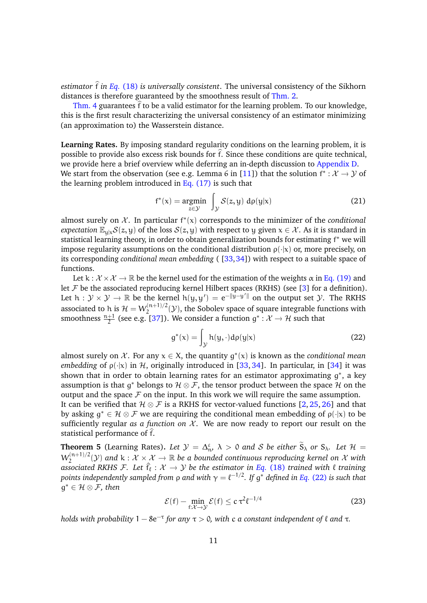*estimator*  $\hat{f}$  *in Eq.* [\(18\)](#page-8-1) *is universally consistent.* The universal consistency of the Sikhorn distances is therefore guaranteed by the smoothness result of [Thm. 2.](#page-5-0)

[Thm. 4](#page-9-1) guarantees  $\hat{f}$  to be a valid estimator for the learning problem. To our knowledge, this is the first result characterizing the universal consistency of an estimator minimizing (an approximation to) the Wasserstein distance.

**Learning Rates.** By imposing standard regularity conditions on the learning problem, it is possible to provide also excess risk bounds for  $\hat{f}$ . Since these conditions are quite technical, we provide here a brief overview while deferring an in-depth discussion to [Appendix D.](#page-23-0)

We start from the observation (see e.g. Lemma 6 in [\[11\]](#page-13-2)) that the solution  $f^*: \mathcal{X} \to \mathcal{Y}$  of the learning problem introduced in Eq.  $(17)$  is such that

$$
f^*(x) = \underset{z \in \mathcal{Y}}{\text{argmin}} \int_{\mathcal{Y}} \mathcal{S}(z, y) \, d\rho(y|x) \tag{21}
$$

almost surely on  $X$ . In particular  $f^*(x)$  corresponds to the minimizer of the *conditional expectation*  $\mathbb{E}_{u|x}S(z, y)$  of the loss  $S(z, y)$  with respect to y given  $x \in \mathcal{X}$ . As it is standard in statistical learning theory, in order to obtain generalization bounds for estimating f <sup>∗</sup> we will impose regularity assumptions on the conditional distribution  $\rho(\cdot|x)$  or, more precisely, on its corresponding *conditional mean embedding* ( [\[33,](#page-15-7)[34\]](#page-15-8)) with respect to a suitable space of functions.

Let  $k : \mathcal{X} \times \mathcal{X} \to \mathbb{R}$  be the kernel used for the estimation of the weights  $\alpha$  in [Eq. \(19\)](#page-9-2) and let  $\mathcal F$  be the associated reproducing kernel Hilbert spaces (RKHS) (see [\[3\]](#page-13-8) for a definition). Let  $h: \mathcal{Y} \times \mathcal{Y} \to \mathbb{R}$  be the kernel  $h(y, y') = e^{-\|y-y'\|}$  on the output set  $\mathcal{Y}$ . The RKHS associated to h is  $\mathcal{H} = W_2^{(n+1)/2}$  $2^{(n+1)/2}$  (*Y*), the Sobolev space of square integrable functions with smoothness  $\frac{n+1}{2}$  (see e.g. [\[37\]](#page-15-9)). We consider a function  $g^*: \mathcal{X} \to \mathcal{H}$  such that

<span id="page-10-0"></span>
$$
g^*(x) = \int_{\mathcal{Y}} h(y, \cdot) d\rho(y|x)
$$
 (22)

almost surely on  $X$ . For any  $x \in X$ , the quantity  $g^*(x)$  is known as the *conditional mean embedding* of  $\rho(\cdot|x)$  in H, originally introduced in [\[33,](#page-15-7) [34\]](#page-15-8). In particular, in [\[34\]](#page-15-8) it was shown that in order to obtain learning rates for an estimator approximating  $g^*$ , a key assumption is that  $g^*$  belongs to  $\mathcal{H} \otimes \mathcal{F}$ , the tensor product between the space  $\mathcal{H}$  on the output and the space  $\mathcal F$  on the input. In this work we will require the same assumption.

It can be verified that  $\mathcal{H} \otimes \mathcal{F}$  is a RKHS for vector-valued functions [\[2,](#page-13-9) [25,](#page-15-10) [26\]](#page-15-11) and that by asking  $g^* \in \mathcal{H} \otimes \mathcal{F}$  we are requiring the conditional mean embedding of  $\rho(\cdot|x)$  to be sufficiently regular *as a function on*  $X$ . We are now ready to report our result on the statistical performance of  $\hat{f}$ .

<span id="page-10-1"></span>**Theorem 5** (Learning Rates). Let  $\mathcal{Y} = \Delta_{n}^{\varepsilon}, \lambda > 0$  and S be either  $\widetilde{S}_{\lambda}$  or  $S_{\lambda}$ . Let  $\mathcal{H} =$  $W_2^{(n+1)/2}$  $Z_2^{(n+1)/2}(\mathcal{Y})$  and  $k : \mathcal{X} \times \mathcal{X} \to \mathbb{R}$  be a bounded continuous reproducing kernel on  $\mathcal{X}$  with *associated RKHS F. Let*  $\hat{f}_l : \mathcal{X} \to \mathcal{Y}$  *be the estimator in Eq.* [\(18\)](#page-8-1) *trained with*  $\ell$  *training* points independently sampled from ρ and with  $\gamma = \ell^{-1/2}$ . If  $g^*$  defined in Eq. [\(22\)](#page-10-0) is such that g <sup>∗</sup> ∈ H ⊗ F*, then*

$$
\mathcal{E}(\mathbf{f}) - \min_{\mathbf{f}: \mathcal{X} \to \mathcal{Y}} \mathcal{E}(\mathbf{f}) \le c \,\tau^2 \ell^{-1/4} \tag{23}
$$

*holds with probability*  $1 - 8e^{-\tau}$  *for any*  $\tau > 0$ , with c a constant independent of  $\ell$  and  $\tau$ .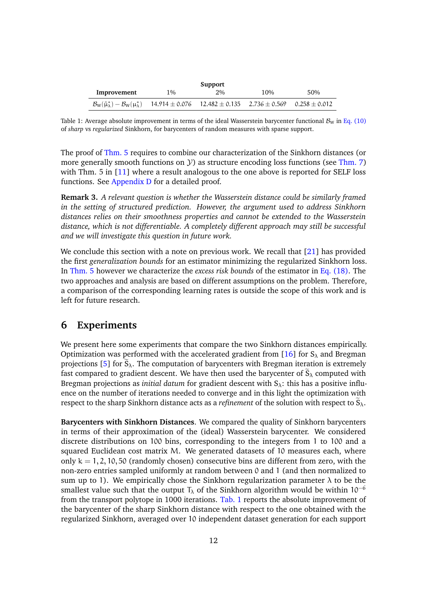<span id="page-11-1"></span>

| Support                                                                                                                                     |       |    |     |     |  |
|---------------------------------------------------------------------------------------------------------------------------------------------|-------|----|-----|-----|--|
| Improvement                                                                                                                                 | $1\%$ | 2% | 10% | 50% |  |
| $B_{\rm W}(\tilde{\mu}_{\lambda}^*) - B_{\rm W}(\mu_{\lambda}^*)$ 14.914 $\pm$ 0.076 12.482 $\pm$ 0.135 2.736 $\pm$ 0.569 0.258 $\pm$ 0.012 |       |    |     |     |  |

Table 1: Average absolute improvement in terms of the ideal Wasserstein barycenter functional  $B<sub>W</sub>$  in [Eq. \(10\)](#page-4-1) of *sharp* vs *regularized* Sinkhorn, for barycenters of random measures with sparse support.

The proof of [Thm. 5](#page-10-1) requires to combine our characterization of the Sinkhorn distances (or more generally smooth functions on  $\mathcal{Y}$ ) as structure encoding loss functions (see [Thm. 7\)](#page-23-2) with Thm. 5 in [\[11\]](#page-13-2) where a result analogous to the one above is reported for SELF loss functions. See [Appendix D](#page-23-0) for a detailed proof.

**Remark 3.** *A relevant question is whether the Wasserstein distance could be similarly framed in the setting of structured prediction. However, the argument used to address Sinkhorn distances relies on their smoothness properties and cannot be extended to the Wasserstein distance, which is not differentiable. A completely different approach may still be successful and we will investigate this question in future work.*

We conclude this section with a note on previous work. We recall that [\[21\]](#page-14-5) has provided the first *generalization bounds* for an estimator minimizing the regularized Sinkhorn loss. In [Thm. 5](#page-10-1) however we characterize the *excess risk bounds* of the estimator in [Eq. \(18\).](#page-8-1) The two approaches and analysis are based on different assumptions on the problem. Therefore, a comparison of the corresponding learning rates is outside the scope of this work and is left for future research.

# <span id="page-11-0"></span>**6 Experiments**

We present here some experiments that compare the two Sinkhorn distances empirically. Optimization was performed with the accelerated gradient from [\[16\]](#page-14-4) for  $S_\lambda$  and Bregman projections [\[5\]](#page-13-0) for  $S_\lambda$ . The computation of barycenters with Bregman iteration is extremely fast compared to gradient descent. We have then used the barycenter of  $S_\lambda$  computed with Bregman projections as *initial datum* for gradient descent with  $S_\lambda$ : this has a positive influence on the number of iterations needed to converge and in this light the optimization with respect to the sharp Sinkhorn distance acts as a *refinement* of the solution with respect to  $S_\lambda$ .

**Barycenters with Sinkhorn Distances**. We compared the quality of Sinkhorn barycenters in terms of their approximation of the (ideal) Wasserstein barycenter. We considered discrete distributions on 100 bins, corresponding to the integers from 1 to 100 and a squared Euclidean cost matrix M. We generated datasets of 10 measures each, where only  $k = 1, 2, 10, 50$  (randomly chosen) consecutive bins are different from zero, with the non-zero entries sampled uniformly at random between 0 and 1 (and then normalized to sum up to 1). We empirically chose the Sinkhorn regularization parameter  $\lambda$  to be the smallest value such that the output  $T<sub>\lambda</sub>$  of the Sinkhorn algorithm would be within 10<sup>-6</sup> from the transport polytope in 1000 iterations. [Tab. 1](#page-11-1) reports the absolute improvement of the barycenter of the sharp Sinkhorn distance with respect to the one obtained with the regularized Sinkhorn, averaged over 10 independent dataset generation for each support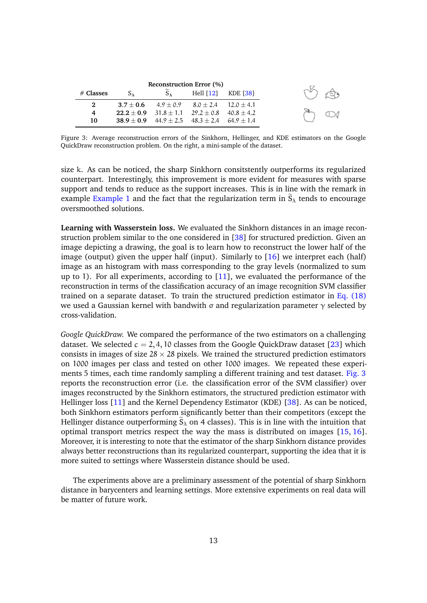<span id="page-12-0"></span>

| <b>Reconstruction Error</b> (%) |               |               |                                                     |  |  |  |
|---------------------------------|---------------|---------------|-----------------------------------------------------|--|--|--|
| $#$ Classes                     | $S_{\lambda}$ | $S_{\lambda}$ | Hell $[12]$ KDE $[38]$                              |  |  |  |
| 2                               |               |               | $3.7 + 0.6$ $4.9 + 0.9$ $8.0 + 2.4$ $12.0 + 4.1$    |  |  |  |
| 4                               |               |               | $22.2 + 0.9$ $31.8 + 1.1$ $29.2 + 0.8$ $40.8 + 4.2$ |  |  |  |
| 10                              |               |               | $38.9 + 0.9$ $44.9 + 2.5$ $48.3 + 2.4$ $64.9 + 1.4$ |  |  |  |

Figure 3: Average reconstruction errors of the Sinkhorn, Hellinger, and KDE estimators on the Google QuickDraw reconstruction problem. On the right, a mini-sample of the dataset.

size k. As can be noticed, the sharp Sinkhorn consitstently outperforms its regularized counterpart. Interestingly, this improvement is more evident for measures with sparse support and tends to reduce as the support increases. This is in line with the remark in example [Example 1](#page-4-0) and the fact that the regularization term in  $\tilde{S}_{\lambda}$  tends to encourage oversmoothed solutions.

**Learning with Wasserstein loss.** We evaluated the Sinkhorn distances in an image reconstruction problem similar to the one considered in [\[38\]](#page-15-12) for structured prediction. Given an image depicting a drawing, the goal is to learn how to reconstruct the lower half of the image (output) given the upper half (input). Similarly to  $[16]$  we interpret each (half) image as an histogram with mass corresponding to the gray levels (normalized to sum up to 1). For all experiments, according to [\[11\]](#page-13-2), we evaluated the performance of the reconstruction in terms of the classification accuracy of an image recognition SVM classifier trained on a separate dataset. To train the structured prediction estimator in Eq.  $(18)$ we used a Gaussian kernel with bandwith σ and regularization parameter  $γ$  selected by cross-validation.

*Google QuickDraw.* We compared the performance of the two estimators on a challenging dataset. We selected  $c = 2, 4, 10$  classes from the Google QuickDraw dataset [\[23\]](#page-14-11) which consists in images of size  $28 \times 28$  pixels. We trained the structured prediction estimators on 1000 images per class and tested on other 1000 images. We repeated these experiments 5 times, each time randomly sampling a different training and test dataset. [Fig. 3](#page-12-0) reports the reconstruction error (i.e. the classification error of the SVM classifier) over images reconstructed by the Sinkhorn estimators, the structured prediction estimator with Hellinger loss [\[11\]](#page-13-2) and the Kernel Dependency Estimator (KDE) [\[38\]](#page-15-12). As can be noticed, both Sinkhorn estimators perform significantly better than their competitors (except the Hellinger distance outperforming  $\tilde{S}_{\lambda}$  on 4 classes). This is in line with the intuition that optimal transport metrics respect the way the mass is distributed on images [\[15,](#page-14-0) [16\]](#page-14-4). Moreover, it is interesting to note that the estimator of the sharp Sinkhorn distance provides always better reconstructions than its regularized counterpart, supporting the idea that it is more suited to settings where Wasserstein distance should be used.

The experiments above are a preliminary assessment of the potential of sharp Sinkhorn distance in barycenters and learning settings. More extensive experiments on real data will be matter of future work.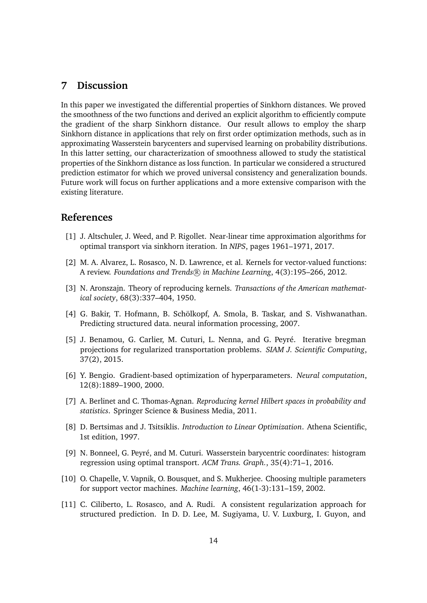# **7 Discussion**

In this paper we investigated the differential properties of Sinkhorn distances. We proved the smoothness of the two functions and derived an explicit algorithm to efficiently compute the gradient of the sharp Sinkhorn distance. Our result allows to employ the sharp Sinkhorn distance in applications that rely on first order optimization methods, such as in approximating Wasserstein barycenters and supervised learning on probability distributions. In this latter setting, our characterization of smoothness allowed to study the statistical properties of the Sinkhorn distance as loss function. In particular we considered a structured prediction estimator for which we proved universal consistency and generalization bounds. Future work will focus on further applications and a more extensive comparison with the existing literature.

# **References**

- <span id="page-13-4"></span>[1] J. Altschuler, J. Weed, and P. Rigollet. Near-linear time approximation algorithms for optimal transport via sinkhorn iteration. In *NIPS*, pages 1961–1971, 2017.
- <span id="page-13-9"></span>[2] M. A. Alvarez, L. Rosasco, N. D. Lawrence, et al. Kernels for vector-valued functions: A review. *Foundations and Trends* R *in Machine Learning*, 4(3):195–266, 2012.
- <span id="page-13-8"></span>[3] N. Aronszajn. Theory of reproducing kernels. *Transactions of the American mathematical society*, 68(3):337–404, 1950.
- <span id="page-13-7"></span>[4] G. Bakir, T. Hofmann, B. Schölkopf, A. Smola, B. Taskar, and S. Vishwanathan. Predicting structured data. neural information processing, 2007.
- <span id="page-13-0"></span>[5] J. Benamou, G. Carlier, M. Cuturi, L. Nenna, and G. Peyré. Iterative bregman projections for regularized transportation problems. *SIAM J. Scientific Computing*, 37(2), 2015.
- <span id="page-13-5"></span>[6] Y. Bengio. Gradient-based optimization of hyperparameters. *Neural computation*, 12(8):1889–1900, 2000.
- <span id="page-13-10"></span>[7] A. Berlinet and C. Thomas-Agnan. *Reproducing kernel Hilbert spaces in probability and statistics*. Springer Science & Business Media, 2011.
- <span id="page-13-3"></span>[8] D. Bertsimas and J. Tsitsiklis. *Introduction to Linear Optimization*. Athena Scientific, 1st edition, 1997.
- <span id="page-13-1"></span>[9] N. Bonneel, G. Peyré, and M. Cuturi. Wasserstein barycentric coordinates: histogram regression using optimal transport. *ACM Trans. Graph.*, 35(4):71–1, 2016.
- <span id="page-13-6"></span>[10] O. Chapelle, V. Vapnik, O. Bousquet, and S. Mukherjee. Choosing multiple parameters for support vector machines. *Machine learning*, 46(1-3):131–159, 2002.
- <span id="page-13-2"></span>[11] C. Ciliberto, L. Rosasco, and A. Rudi. A consistent regularization approach for structured prediction. In D. D. Lee, M. Sugiyama, U. V. Luxburg, I. Guyon, and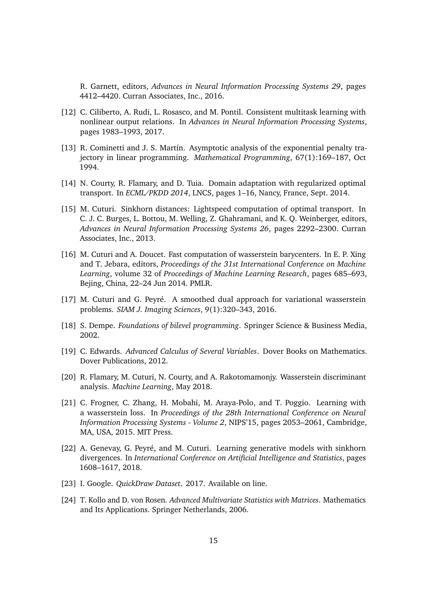R. Garnett, editors, *Advances in Neural Information Processing Systems 29*, pages 4412–4420. Curran Associates, Inc., 2016.

- <span id="page-14-10"></span>[12] C. Ciliberto, A. Rudi, L. Rosasco, and M. Pontil. Consistent multitask learning with nonlinear output relations. In *Advances in Neural Information Processing Systems*, pages 1983–1993, 2017.
- <span id="page-14-7"></span>[13] R. Cominetti and J. S. Martín. Asymptotic analysis of the exponential penalty trajectory in linear programming. *Mathematical Programming*, 67(1):169–187, Oct 1994.
- <span id="page-14-3"></span>[14] N. Courty, R. Flamary, and D. Tuia. Domain adaptation with regularized optimal transport. In *ECML/PKDD 2014*, LNCS, pages 1–16, Nancy, France, Sept. 2014.
- <span id="page-14-0"></span>[15] M. Cuturi. Sinkhorn distances: Lightspeed computation of optimal transport. In C. J. C. Burges, L. Bottou, M. Welling, Z. Ghahramani, and K. Q. Weinberger, editors, *Advances in Neural Information Processing Systems 26*, pages 2292–2300. Curran Associates, Inc., 2013.
- <span id="page-14-4"></span>[16] M. Cuturi and A. Doucet. Fast computation of wasserstein barycenters. In E. P. Xing and T. Jebara, editors, *Proceedings of the 31st International Conference on Machine Learning*, volume 32 of *Proceedings of Machine Learning Research*, pages 685–693, Bejing, China, 22–24 Jun 2014. PMLR.
- <span id="page-14-8"></span>[17] M. Cuturi and G. Peyré. A smoothed dual approach for variational wasserstein problems. *SIAM J. Imaging Sciences*, 9(1):320–343, 2016.
- <span id="page-14-1"></span>[18] S. Dempe. *Foundations of bilevel programming*. Springer Science & Business Media, 2002.
- <span id="page-14-9"></span>[19] C. Edwards. *Advanced Calculus of Several Variables*. Dover Books on Mathematics. Dover Publications, 2012.
- <span id="page-14-6"></span>[20] R. Flamary, M. Cuturi, N. Courty, and A. Rakotomamonjy. Wasserstein discriminant analysis. *Machine Learning*, May 2018.
- <span id="page-14-5"></span>[21] C. Frogner, C. Zhang, H. Mobahi, M. Araya-Polo, and T. Poggio. Learning with a wasserstein loss. In *Proceedings of the 28th International Conference on Neural Information Processing Systems - Volume 2*, NIPS'15, pages 2053–2061, Cambridge, MA, USA, 2015. MIT Press.
- <span id="page-14-2"></span>[22] A. Genevay, G. Peyré, and M. Cuturi. Learning generative models with sinkhorn divergences. In *International Conference on Artificial Intelligence and Statistics*, pages 1608–1617, 2018.
- <span id="page-14-11"></span>[23] I. Google. *QuickDraw Dataset*. 2017. Available on line.
- <span id="page-14-12"></span>[24] T. Kollo and D. von Rosen. *Advanced Multivariate Statistics with Matrices*. Mathematics and Its Applications. Springer Netherlands, 2006.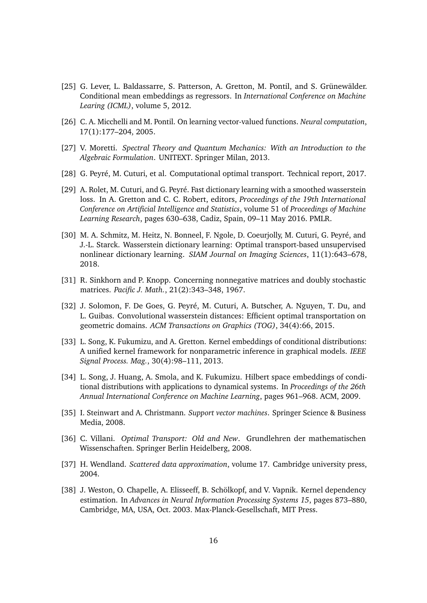- <span id="page-15-10"></span>[25] G. Lever, L. Baldassarre, S. Patterson, A. Gretton, M. Pontil, and S. Grünewälder. Conditional mean embeddings as regressors. In *International Conference on Machine Learing (ICML)*, volume 5, 2012.
- <span id="page-15-11"></span>[26] C. A. Micchelli and M. Pontil. On learning vector-valued functions. *Neural computation*, 17(1):177–204, 2005.
- <span id="page-15-13"></span>[27] V. Moretti. *Spectral Theory and Quantum Mechanics: With an Introduction to the Algebraic Formulation*. UNITEXT. Springer Milan, 2013.
- <span id="page-15-0"></span>[28] G. Peyré, M. Cuturi, et al. Computational optimal transport. Technical report, 2017.
- <span id="page-15-1"></span>[29] A. Rolet, M. Cuturi, and G. Peyré. Fast dictionary learning with a smoothed wasserstein loss. In A. Gretton and C. C. Robert, editors, *Proceedings of the 19th International Conference on Artificial Intelligence and Statistics*, volume 51 of *Proceedings of Machine Learning Research*, pages 630–638, Cadiz, Spain, 09–11 May 2016. PMLR.
- <span id="page-15-2"></span>[30] M. A. Schmitz, M. Heitz, N. Bonneel, F. Ngole, D. Coeurjolly, M. Cuturi, G. Peyré, and J.-L. Starck. Wasserstein dictionary learning: Optimal transport-based unsupervised nonlinear dictionary learning. *SIAM Journal on Imaging Sciences*, 11(1):643–678, 2018.
- <span id="page-15-4"></span>[31] R. Sinkhorn and P. Knopp. Concerning nonnegative matrices and doubly stochastic matrices. *Pacific J. Math.*, 21(2):343–348, 1967.
- <span id="page-15-5"></span>[32] J. Solomon, F. De Goes, G. Peyré, M. Cuturi, A. Butscher, A. Nguyen, T. Du, and L. Guibas. Convolutional wasserstein distances: Efficient optimal transportation on geometric domains. *ACM Transactions on Graphics (TOG)*, 34(4):66, 2015.
- <span id="page-15-7"></span>[33] L. Song, K. Fukumizu, and A. Gretton. Kernel embeddings of conditional distributions: A unified kernel framework for nonparametric inference in graphical models. *IEEE Signal Process. Mag.*, 30(4):98–111, 2013.
- <span id="page-15-8"></span>[34] L. Song, J. Huang, A. Smola, and K. Fukumizu. Hilbert space embeddings of conditional distributions with applications to dynamical systems. In *Proceedings of the 26th Annual International Conference on Machine Learning*, pages 961–968. ACM, 2009.
- <span id="page-15-6"></span>[35] I. Steinwart and A. Christmann. *Support vector machines*. Springer Science & Business Media, 2008.
- <span id="page-15-3"></span>[36] C. Villani. *Optimal Transport: Old and New*. Grundlehren der mathematischen Wissenschaften. Springer Berlin Heidelberg, 2008.
- <span id="page-15-9"></span>[37] H. Wendland. *Scattered data approximation*, volume 17. Cambridge university press, 2004.
- <span id="page-15-12"></span>[38] J. Weston, O. Chapelle, A. Elisseeff, B. Schölkopf, and V. Vapnik. Kernel dependency estimation. In *Advances in Neural Information Processing Systems 15*, pages 873–880, Cambridge, MA, USA, Oct. 2003. Max-Planck-Gesellschaft, MIT Press.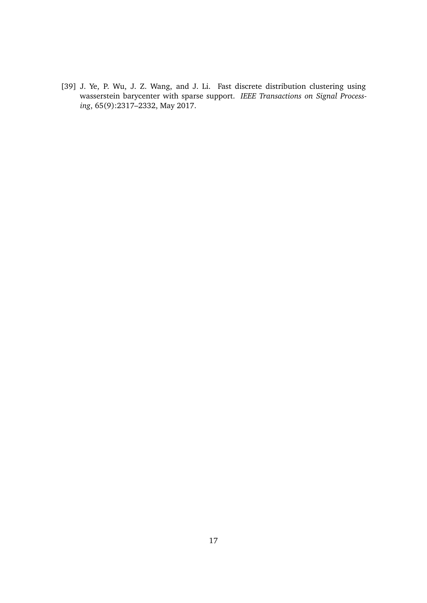<span id="page-16-0"></span>[39] J. Ye, P. Wu, J. Z. Wang, and J. Li. Fast discrete distribution clustering using wasserstein barycenter with sparse support. *IEEE Transactions on Signal Processing*, 65(9):2317–2332, May 2017.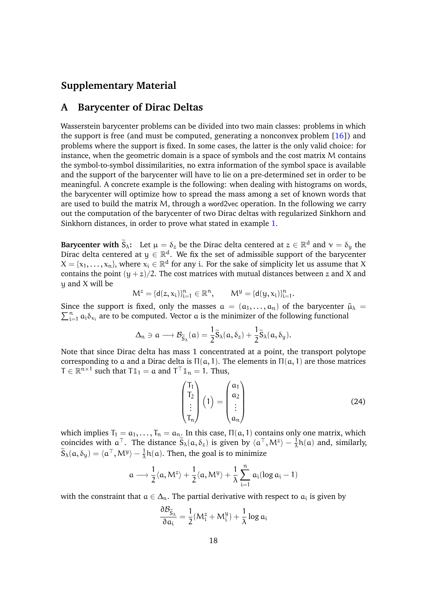# **Supplementary Material**

## <span id="page-17-0"></span>**A Barycenter of Dirac Deltas**

Wasserstein barycenter problems can be divided into two main classes: problems in which the support is free (and must be computed, generating a nonconvex problem  $[16]$ ) and problems where the support is fixed. In some cases, the latter is the only valid choice: for instance, when the geometric domain is a space of symbols and the cost matrix M contains the symbol-to-symbol dissimilarities, no extra information of the symbol space is available and the support of the barycenter will have to lie on a pre-determined set in order to be meaningful. A concrete example is the following: when dealing with histograms on words, the barycenter will optimize how to spread the mass among a set of known words that are used to build the matrix M, through a word2vec operation. In the following we carry out the computation of the barycenter of two Dirac deltas with regularized Sinkhorn and Sinkhorn distances, in order to prove what stated in example [1.](#page-4-0)

**Barycenter with**  $\widetilde{S}_{\lambda}$ : Let  $\mu = \delta_z$  be the Dirac delta centered at  $z \in \mathbb{R}^d$  and  $\gamma = \delta_y$  the Dirac delta centered at  $y \in \mathbb{R}^d$ . We fix the set of admissible support of the barycenter  $X = \{x_1, \ldots, x_n\}$ , where  $x_i \in \mathbb{R}^d$  for any i. For the sake of simplicity let us assume that X contains the point  $(y + z)/2$ . The cost matrices with mutual distances between z and X and y and X will be

$$
M^z=\{d(z,x_i)\}_{i=1}^n\in\mathbb{R}^n,\qquad M^y=\{d(y,x_i)\}_{i=1}^n.
$$

Since the support is fixed, only the masses  $\alpha = (\alpha_1, \dots, \alpha_n)$  of the barycenter  $\tilde{\mu}_{\lambda}$  =  $\sum_{i=1}^{n} a_i \delta_{x_i}$  are to be computed. Vector a is the minimizer of the following functional

$$
\Delta_{n} \ni \alpha \longrightarrow \mathcal{B}_{\widetilde{S}_{\lambda}}(\alpha) = \frac{1}{2} \widetilde{S}_{\lambda}(\alpha, \delta_{z}) + \frac{1}{2} \widetilde{S}_{\lambda}(\alpha, \delta_{y}).
$$

Note that since Dirac delta has mass 1 concentrated at a point, the transport polytope corresponding to a and a Dirac delta is  $\Pi(a, 1)$ . The elements in  $\Pi(a, 1)$  are those matrices  $T \in \mathbb{R}^{n \times 1}$  such that  $T\mathbb{1}_1 = \alpha$  and  $T^{\top} \mathbb{1}_n = 1$ . Thus,

$$
\begin{pmatrix} T_1 \\ T_2 \\ \vdots \\ T_n \end{pmatrix} (1) = \begin{pmatrix} a_1 \\ a_2 \\ \vdots \\ a_n \end{pmatrix}
$$
 (24)

which implies  $T_1 = a_1, \ldots, T_n = a_n$ . In this case,  $\Pi(a, 1)$  contains only one matrix, which coincides with  $\alpha^{\top}$ . The distance  $\widetilde{S}_{\lambda}(\alpha,\delta_z)$  is given by  $\langle \alpha^{\top}, M^z \rangle - \frac{1}{\lambda}$  $\frac{1}{\lambda}h(a)$  and, similarly,  $\widetilde{S}_{\lambda}(\mathfrak{a}, \delta_{y}) = \langle \mathfrak{a}^{\top}, M^{y} \rangle - \frac{1}{\lambda}$  $\frac{1}{\lambda}$ h(a). Then, the goal is to minimize

$$
\alpha \longrightarrow \frac{1}{2} \langle \alpha, M^z \rangle + \frac{1}{2} \langle \alpha, M^y \rangle + \frac{1}{\lambda} \sum_{i=1}^n \, a_i (\log a_i - 1)
$$

with the constraint that  $a \in \Delta_n$ . The partial derivative with respect to  $a_i$  is given by

$$
\frac{\partial \mathcal{B}_{\widetilde{S}_{\lambda}}}{\partial \alpha_i} = \frac{1}{2} (M_i^z + M_i^y) + \frac{1}{\lambda} \log \alpha_i
$$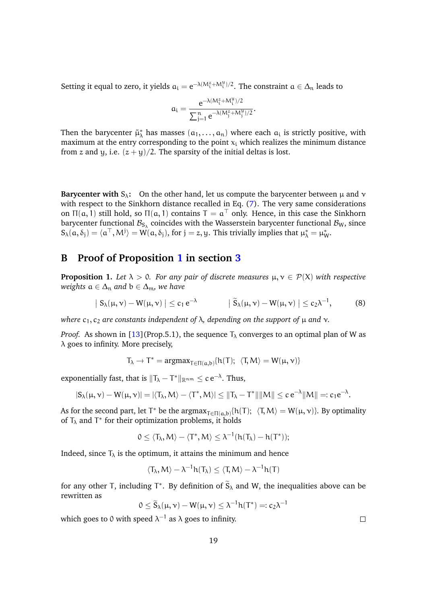Setting it equal to zero, it yields  $a_i = e^{-\lambda(M_i^z + M_i^y)/2}$ . The constraint  $a \in \Delta_n$  leads to

$$
a_i = \frac{e^{-\lambda(M_i^z + M_i^y)/2}}{\sum_{j=1}^n e^{-\lambda(M_j^z + M_j^y)/2}}.
$$

Then the barycenter  $\tilde{\mu}^*_{\lambda}$  has masses  $(a_1, \ldots, a_n)$  where each  $a_i$  is strictly positive, with maximum at the entry corresponding to the point  $x_i$  which realizes the minimum distance from z and y, i.e.  $(z + y)/2$ . The sparsity of the initial deltas is lost.

**Barycenter with**  $S_\lambda$ : On the other hand, let us compute the barycenter between  $\mu$  and  $\nu$ with respect to the Sinkhorn distance recalled in Eq. [\(7\)](#page-3-0). The very same considerations on  $\Pi(a, 1)$  still hold, so  $\Pi(a, 1)$  contains  $T = a^{\top}$  only. Hence, in this case the Sinkhorn barycenter functional  $\mathcal{B}_{\mathsf{S}_\lambda}$  coincides with the Wasserstein barycenter functional  $\mathcal{B}_{\mathsf{W}},$  since  $S_{\lambda}(\alpha,\delta_j) = \langle \alpha^{\top},M^j \rangle = W(\alpha,\delta_j)$ , for  $j = z, y$ . This trivially implies that  $\mu_{\lambda}^* = \mu_{W}^*$ .

# **B Proof of Proposition [1](#page-3-1) in section [3](#page-3-3)**

**Proposition 1.** Let  $\lambda > 0$ . For any pair of discrete measures  $\mu, \nu \in \mathcal{P}(X)$  with respective *weights*  $a \in \Delta_n$  *and*  $b \in \Delta_m$ *, we have* 

$$
\left| S_{\lambda}(\mu, \nu) - W(\mu, \nu) \right| \leq c_1 e^{-\lambda} \qquad \left| \tilde{S}_{\lambda}(\mu, \nu) - W(\mu, \nu) \right| \leq c_2 \lambda^{-1}, \qquad (8)
$$

*where*  $c_1$ ,  $c_2$  *are constants independent of* λ, *depending on the support of* μ *and* ν.

*Proof.* As shown in [\[13\]](#page-14-7)(Prop.5.1), the sequence  $T_{\lambda}$  converges to an optimal plan of W as  $\lambda$  goes to infinity. More precisely,

 $T_{\lambda} \to T^* = \text{argmax}_{T \in \Pi(a,b)} \{h(T); \langle T, M \rangle = W(\mu, \nu)\}$ 

exponentially fast, that is  $\|\mathsf{T}_\lambda - \mathsf{T}^*\|_{\mathbb{R}^{n \mathfrak{m}}} \leq c \, \mathrm{e}^{-\lambda}.$  Thus,

$$
|S_{\lambda}(\mu, \nu) - W(\mu, \nu)| = |\langle T_{\lambda}, M \rangle - \langle T^*, M \rangle| \le ||T_{\lambda} - T^*|| ||M|| \le c e^{-\lambda} ||M|| =: c_1 e^{-\lambda}.
$$

As for the second part, let  $T^*$  be the  $\argmax_{T \in \Pi(a,b)} \{h(T); \langle T, M \rangle = W(\mu, \nu)\}.$  By optimality of  $T_{\lambda}$  and T<sup>\*</sup> for their optimization problems, it holds

$$
0\leq \langle T_{\lambda},M\rangle-\langle T^*,M\rangle\leq \lambda^{-1}(h(T_{\lambda})-h(T^*));
$$

Indeed, since  $T_{\lambda}$  is the optimum, it attains the minimum and hence

$$
\langle T_{\lambda}, M \rangle - \lambda^{-1} h(T_{\lambda}) \leq \langle T, M \rangle - \lambda^{-1} h(T)
$$

for any other T, including T<sup>\*</sup>. By definition of  $\widetilde{S}_{\lambda}$  and W, the inequalities above can be rewritten as

$$
0 \leq \widetilde{S}_{\lambda}(\mu, \nu) - W(\mu, \nu) \leq \lambda^{-1} h(T^*) =: c_2 \lambda^{-1}
$$

which goes to 0 with speed  $\lambda^{-1}$  as  $\lambda$  goes to infinity.

 $\Box$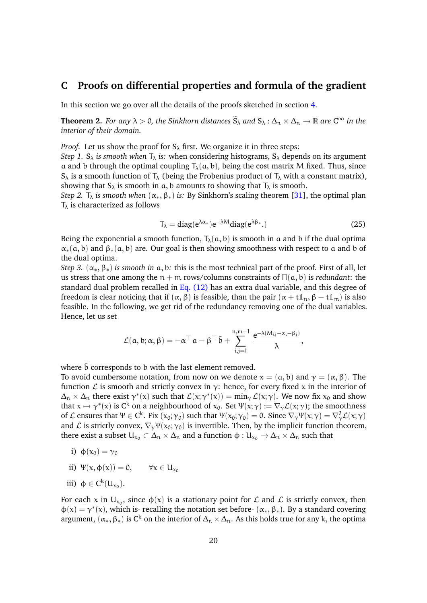# <span id="page-19-0"></span>**C Proofs on differential properties and formula of the gradient**

In this section we go over all the details of the proofs sketched in section [4.](#page-5-1)

**Theorem 2.** *For any*  $\lambda > 0$ *, the Sinkhorn distances*  $\widetilde{S}_{\lambda}$  *and*  $S_{\lambda} : \Delta_n \times \Delta_n \to \mathbb{R}$  *are*  $C^{\infty}$  *in the interior of their domain.*

*Proof.* Let us show the proof for  $S_\lambda$  first. We organize it in three steps:

*Step 1.* S<sub> $\lambda$ </sub> *is smooth when*  $T_{\lambda}$  *is:* when considering histograms, S<sub> $\lambda$ </sub> depends on its argument a and b through the optimal coupling  $T_{\lambda}(\alpha, b)$ , being the cost matrix M fixed. Thus, since  $S_\lambda$  is a smooth function of  $T_\lambda$  (being the Frobenius product of  $T_\lambda$  with a constant matrix), showing that  $S_\lambda$  is smooth in a, b amounts to showing that  $T_\lambda$  is smooth.

<span id="page-19-1"></span>*Step 2.*  $T_{\lambda}$  *is smooth when*  $(\alpha_*, \beta_*)$  *is:* By Sinkhorn's scaling theorem [\[31\]](#page-15-4), the optimal plan  $T_{\lambda}$  is characterized as follows

$$
T_{\lambda} = \text{diag}(e^{\lambda \alpha_*}) e^{-\lambda M} \text{diag}(e^{\lambda \beta_*}). \tag{25}
$$

Being the exponential a smooth function,  $T_{\lambda}(\mathfrak{a}, \mathfrak{b})$  is smooth in a and b if the dual optima  $\alpha_*(a, b)$  and  $\beta_*(a, b)$  are. Our goal is then showing smoothness with respect to a and b of the dual optima.

*Step 3.*  $(\alpha_*, \beta_*)$  *is smooth in* a, b: this is the most technical part of the proof. First of all, let us stress that one among the  $n + m$  rows/columns constraints of  $\Pi(a, b)$  is *redundant*: the standard dual problem recalled in [Eq. \(12\)](#page-5-2) has an extra dual variable, and this degree of freedom is clear noticing that if  $(\alpha, \beta)$  is feasible, than the pair  $(\alpha + t\mathbb{1}_n, \beta - t\mathbb{1}_m)$  is also feasible. In the following, we get rid of the redundancy removing one of the dual variables. Hence, let us set

$$
\mathcal{L}(\mathfrak{a},\mathfrak{b};\alpha,\beta)=-\alpha^{\top} \mathfrak{a}-\beta^{\top} \bar{\mathfrak{b}}+\sum_{i,j=1}^{n,m-1} \frac{e^{-\lambda(M_{ij}-\alpha_i-\beta_j)}}{\lambda},
$$

where  $\bar{b}$  corresponds to b with the last element removed.

To avoid cumbersome notation, from now on we denote  $x = (a, b)$  and  $\gamma = (\alpha, \beta)$ . The function  $\mathcal L$  is smooth and strictly convex in  $\gamma$ : hence, for every fixed x in the interior of  $\Delta_n \times \Delta_n$  there exist  $\gamma^*(x)$  such that  $\mathcal{L}(x; \gamma^*(x)) = \min_{\gamma} \mathcal{L}(x; \gamma)$ . We now fix  $x_0$  and show that  $x \mapsto \gamma^*(x)$  is  $C^k$  on a neighbourhood of  $x_0$ . Set  $\Psi(x; \gamma) := \nabla_{\gamma} \mathcal{L}(x; \gamma)$ ; the smoothness of  $\mathcal L$  ensures that  $\Psi \in C^k$ . Fix  $(x_0; y_0)$  such that  $\Psi(x_0; y_0) = 0$ . Since  $\nabla_\gamma \Psi(x; y) = \nabla_\gamma^2 \mathcal L(x; y)$ and L is strictly convex,  $\nabla_{\gamma}\Psi(x_0; \gamma_0)$  is invertible. Then, by the implicit function theorem, there exist a subset  $U_{x_0} \subset \Delta_n \times \Delta_n$  and a function  $\phi : U_{x_0} \to \Delta_n \times \Delta_n$  such that

- i)  $\phi(x_0) = \gamma_0$
- ii)  $\Psi(x, \phi(x)) = 0, \quad \forall x \in U_{x_0}$

$$
iii)\ \ \varphi\in C^k(U_{x_0}).
$$

For each x in  $U_{x_0}$ , since  $\phi(x)$  is a stationary point for  $\mathcal L$  and  $\mathcal L$  is strictly convex, then  $\phi(x) = \gamma^*(x)$ , which is- recalling the notation set before-  $(\alpha_*, \beta_*)$ . By a standard covering argument,  $(\alpha_*, \beta_*)$  is C<sup>k</sup> on the interior of  $\Delta_n \times \Delta_n$ . As this holds true for any k, the optima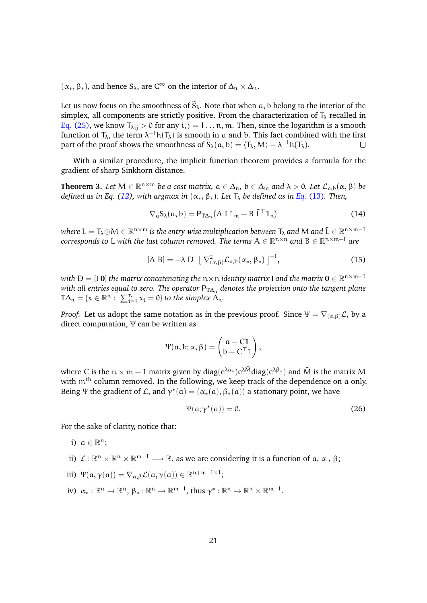$(\alpha_*, \beta_*)$ , and hence S<sub> $\lambda$ </sub>, are C<sup>∞</sup> on the interior of  $\Delta_n \times \Delta_n$ .

Let us now focus on the smoothness of  $\tilde{S}_{\lambda}$ . Note that when a, b belong to the interior of the simplex, all components are strictly positive. From the characterization of  $T_{\lambda}$  recalled in [Eq. \(25\),](#page-19-1) we know  $T_{\lambda ii} > 0$  for any  $i, j = 1 \dots n$ , m. Then, since the logarithm is a smooth function of  $T_{\lambda}$ , the term  $\lambda^{-1}h(T_{\lambda})$  is smooth in a and b. This fact combined with the first part of the proof shows the smoothness of  $\widetilde{S}_{\lambda}(a, b) = \langle T_{\lambda}, M \rangle - \lambda^{-1} h(T_{\lambda}).$  $\Box$ 

With a similar procedure, the implicit function theorem provides a formula for the gradient of sharp Sinkhorn distance.

**Theorem 3.** Let  $M \in \mathbb{R}^{n \times m}$  be a cost matrix,  $a \in \Delta_n$ ,  $b \in \Delta_m$  and  $\lambda > 0$ . Let  $\mathcal{L}_{a,b}(\alpha, \beta)$  be *defined as in Eq. [\(12\)](#page-5-2), with argmax in*  $(\alpha_*, \beta_*)$ *. Let*  $T_\lambda$  *be defined as in Eq. [\(13\)](#page-5-3). Then,* 

$$
\nabla_{a} S_{\lambda}(a, b) = P_{T\Delta_{n}}(A L \mathbb{1}_{m} + B \bar{L}^{\top} \mathbb{1}_{n})
$$
(14)

where  $L = T_\lambda \odot M \in \R^{n\times m}$  is the entry-wise multiplication between  $T_\lambda$  and  $M$  and  $\bar{\sf L} \in \R^{n\times m-1}$  $\mathfrak{c}$  *corresponds to* L with the last column removed. The terms  $\mathsf{A} \in \mathbb{R}^{n \times n}$  and  $\mathsf{B} \in \mathbb{R}^{n \times m-1}$  are

$$
[A \ B] = -\lambda \ D \ \left[ \ \nabla^2_{(\alpha,\beta)} \mathcal{L}_{a,b}(\alpha_*,\beta_*) \ \right]^{-1}, \tag{15}
$$

with  $D = [I \ 0]$  the matrix concatenating the  $n \times n$  identity matrix I and the matrix  $\mathbf{0} \in \mathbb{R}^{n \times m-1}$ *with all entries equal to zero. The operator*  $P_{T\Delta n}$  *denotes the projection onto the tangent plane*  $T\Delta_n = \{x \in \mathbb{R}^n : \sum_{i=1}^n x_i = 0\}$  to the simplex  $\Delta_n$ .

*Proof.* Let us adopt the same notation as in the previous proof. Since  $\Psi = \nabla_{(\alpha,\beta)} \mathcal{L}$ , by a direct computation, Ψ can be written as

$$
\Psi(\mathfrak{a},\mathfrak{b};\alpha,\beta)=\begin{pmatrix} \mathfrak{a}-\mathfrak{C}\mathbb{1} \\ \mathfrak{b}-\mathfrak{C}^{\top}\mathbb{1} \end{pmatrix},
$$

where C is the  $n \times m - 1$  matrix given by diag( $e^{\lambda \alpha_*}$ ) $e^{\lambda \bar{M}}$ diag( $e^{\lambda \beta_*}$ ) and  $\bar{M}$  is the matrix M with  $m<sup>th</sup>$  column removed. In the following, we keep track of the dependence on a only. Being Ψ the gradient of L, and  $\gamma^*(a) = (\alpha_*(a), \beta_*(a))$  a stationary point, we have

<span id="page-20-0"></span>
$$
\Psi(\alpha; \gamma^*(\alpha)) = 0. \tag{26}
$$

For the sake of clarity, notice that:

- i)  $a \in \mathbb{R}^n$ ;
- ii)  $\mathcal{L}: \mathbb{R}^n \times \mathbb{R}^n \times \mathbb{R}^{m-1} \longrightarrow \mathbb{R}$ , as we are considering it is a function of  $\alpha$ ,  $\alpha$  ,  $\beta$ ;
- iii)  $\Psi(\mathfrak{a}, \gamma(\mathfrak{a})) = \nabla_{\alpha, \beta} \mathcal{L}(\mathfrak{a}, \gamma(\mathfrak{a})) \in \mathbb{R}^{n+m-1 \times 1};$
- iv)  $\alpha_*: \mathbb{R}^n \to \mathbb{R}^n$ ,  $\beta_*: \mathbb{R}^n \to \mathbb{R}^{m-1}$ , thus  $\gamma^*: \mathbb{R}^n \to \mathbb{R}^n \times \mathbb{R}^{m-1}$ .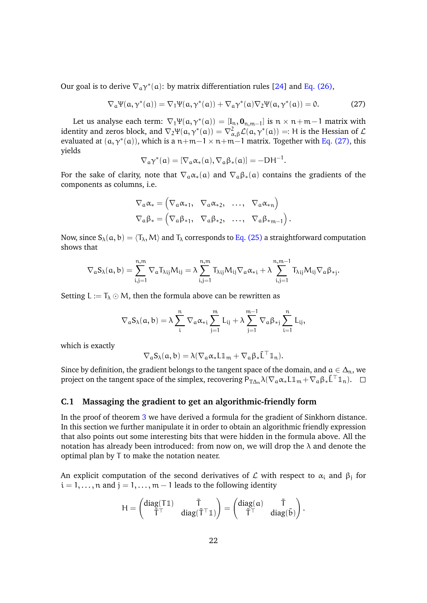Our goal is to derive  $\nabla_a \gamma^*(a)$ : by matrix differentiation rules [\[24\]](#page-14-12) and [Eq. \(26\),](#page-20-0)

$$
\nabla_{\mathfrak{a}} \Psi(\mathfrak{a}, \gamma^*(\mathfrak{a})) = \nabla_1 \Psi(\mathfrak{a}, \gamma^*(\mathfrak{a})) + \nabla_{\mathfrak{a}} \gamma^*(\mathfrak{a}) \nabla_2 \Psi(\mathfrak{a}, \gamma^*(\mathfrak{a})) = 0.
$$
 (27)

Let us analyse each term:  $\nabla_1 \Psi(\mathfrak{a}, \gamma^*(\mathfrak{a})) = [\mathbf{I}_n, \mathbf{0}_{n,m-1}]$  is  $n \times n+m-1$  matrix with identity and zeros block, and  $\nabla_2 \Psi(\mathfrak{a},\gamma^*(\mathfrak{a})) = \nabla^2_{\alpha,\beta}\mathcal{L}(\mathfrak{a},\gamma^*(\mathfrak{a})) =: H$  is the Hessian of  $\mathcal L$ evaluated at  $(a, \gamma^*(a))$ , which is a  $n+m-1 \times n+m-1$  matrix. Together with [Eq. \(27\),](#page-21-0) this yields

<span id="page-21-0"></span>
$$
\nabla_a\gamma^*(a)=[\nabla_a\alpha_*(a),\nabla_a\beta_*(a)]=-DH^{-1}.
$$

For the sake of clarity, note that  $\nabla_a \alpha_*(a)$  and  $\nabla_a \beta_*(a)$  contains the gradients of the components as columns, i.e.

$$
\nabla_a \alpha_* = \begin{pmatrix} \nabla_a \alpha_{*1}, & \nabla_a \alpha_{*2}, & \dots, & \nabla_a \alpha_{*n} \end{pmatrix}
$$
  
\n
$$
\nabla_a \beta_* = \begin{pmatrix} \nabla_a \beta_{*1}, & \nabla_a \beta_{*2}, & \dots, & \nabla_a \beta_{*m-1} \end{pmatrix}.
$$

Now, since  $S_\lambda(a, b) = \langle T_\lambda, M \rangle$  and  $T_\lambda$  corresponds to [Eq. \(25\)](#page-19-1) a straightforward computation shows that

$$
\nabla_{\alpha}S_{\lambda}(\alpha,b)=\sum_{i,j=1}^{n,m}\nabla_{\alpha}T_{\lambda ij}M_{ij}=\lambda\sum_{i,j=1}^{n,m}T_{\lambda ij}M_{ij}\nabla_{\alpha}\alpha_{*i}+\lambda\sum_{i,j=1}^{n,m-1}T_{\lambda ij}M_{ij}\nabla_{\alpha}\beta_{*j}.
$$

Setting  $L := T_{\lambda} \odot M$ , then the formula above can be rewritten as

$$
\nabla_\alpha S_\lambda(\alpha,b)=\lambda\sum_i^n\,\nabla_\alpha\alpha_{*i}\sum_{j=1}^m\,L_{ij}+\lambda\sum_{j=1}^{m-1}\nabla_\alpha\beta_{*j}\sum_{i=1}^n\,L_{ij},
$$

which is exactly

$$
\nabla_{\mathfrak{a}}S_{\lambda}(\mathfrak{a},\mathfrak{b})=\lambda(\nabla_{\mathfrak{a}}\alpha_{*}L\mathbb{1}_{\mathfrak{m}}+\nabla_{\mathfrak{a}}\beta_{*}\bar{L}^{\top}\mathbb{1}_{\mathfrak{n}}).
$$

Since by definition, the gradient belongs to the tangent space of the domain, and  $a \in \Delta_n$ , we project on the tangent space of the simplex, recovering  $P_{T\Delta_n}\lambda(\nabla_a\alpha_*L\mathbb{1}_m + \nabla_a\beta_*\bar{L}^\top\mathbb{1}_n)$ .  $\square$ 

#### **C.1 Massaging the gradient to get an algorithmic-friendly form**

In the proof of theorem [3](#page-6-0) we have derived a formula for the gradient of Sinkhorn distance. In this section we further manipulate it in order to obtain an algorithmic friendly expression that also points out some interesting bits that were hidden in the formula above. All the notation has already been introduced: from now on, we will drop the  $\lambda$  and denote the optimal plan by T to make the notation neater.

An explicit computation of the second derivatives of  ${\cal L}$  with respect to  $\alpha_{\rm i}$  and  $\beta_{\rm j}$  for  $i = 1, \ldots, n$  and  $j = 1, \ldots, m - 1$  leads to the following identity

$$
H = \begin{pmatrix} diag(T\mathbb{1}) & \bar{T} \\ \bar{T}^\top & diag(\bar{T}^\top\mathbb{1}) \end{pmatrix} = \begin{pmatrix} diag(\mathfrak{a}) & \bar{T} \\ \bar{T}^\top & diag(\bar{\mathfrak{b}}) \end{pmatrix}.
$$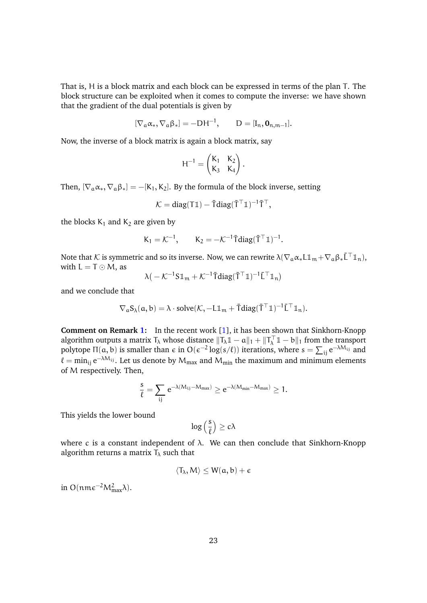That is, H is a block matrix and each block can be expressed in terms of the plan T. The block structure can be exploited when it comes to compute the inverse: we have shown that the gradient of the dual potentials is given by

$$
[\nabla_a \alpha_*, \nabla_a \beta_*] = -DH^{-1}, \qquad D = [I_n, \mathbf{0}_{n,m-1}].
$$

Now, the inverse of a block matrix is again a block matrix, say

$$
H^{-1} = \begin{pmatrix} K_1 & K_2 \\ K_3 & K_4 \end{pmatrix}.
$$

Then,  $[\nabla_{a} \alpha_{*}, \nabla_{a} \beta_{*}] = -[K_1, K_2]$ . By the formula of the block inverse, setting

$$
\mathcal{K} = diag(T\mathbb{1}) - \overline{T}diag(\overline{T}^{\top}\mathbb{1})^{-1}\overline{T}^{\top},
$$

the blocks  $K_1$  and  $K_2$  are given by

$$
K_1 = \mathcal{K}^{-1}, \qquad K_2 = -\mathcal{K}^{-1} \overline{T} \text{diag}(\overline{T}^\top \mathbb{1})^{-1}.
$$

Note that K is symmetric and so its inverse. Now, we can rewrite  $\lambda(\nabla_a\alpha_*L\mathbb{1}_m+\nabla_a\beta_*\bar{L}^\top\mathbb{1}_n)$ , with  $L = T \odot M$ , as

$$
\lambda\big(-\mathcal{K}^{-1}S\mathbb{1}_m+\mathcal{K}^{-1}\bar{T}diag(\bar{T}^{\top}\mathbb{1})^{-1}\bar{L}^{\top}\mathbb{1}_n\big)
$$

and we conclude that

$$
\nabla_a S_{\lambda}(a,b) = \lambda \cdot solve(\mathcal{K}, -L\mathbb{1}_m + \overline{T}diag(\overline{T}^{\top}\mathbb{1})^{-1}\overline{L}^{\top}\mathbb{1}_n).
$$

**Comment on Remark [1:](#page-7-2)** In the recent work [\[1\]](#page-13-4), it has been shown that Sinkhorn-Knopp algorithm outputs a matrix  $T_\lambda$  whose distance  $\|T_\lambda\mathbb{1} - \alpha\|_1 + \|T_\lambda^\top\mathbb{1} - \alpha\|_1$  from the transport polytope Π(a, b) is smaller than  $\epsilon$  in  $O(\epsilon^{-2} \log(s/\ell))$  iterations, where  $s = \sum_{ij} e^{-\lambda M_{ij}}$  and  $\ell = \min_{ij} e^{-\lambda M_{ij}}$ . Let us denote by  $M_{max}$  and  $M_{min}$  the maximum and minimum elements of M respectively. Then,

$$
\frac{s}{\ell} = \sum_{ij} e^{-\lambda(M_{ij}-M_{max})} \geq e^{-\lambda(M_{min}-M_{max})} \geq 1.
$$

This yields the lower bound

$$
log\left(\frac{s}{\ell}\right) \geq c\lambda
$$

where c is a constant independent of  $\lambda$ . We can then conclude that Sinkhorn-Knopp algorithm returns a matrix  $T_{\lambda}$  such that

$$
\langle T_\lambda,M\rangle\leq W(\mathfrak{a},\mathfrak{b})+\varepsilon
$$

in O(nm $\epsilon^{-2}M_{\text{max}}^2\lambda$ ).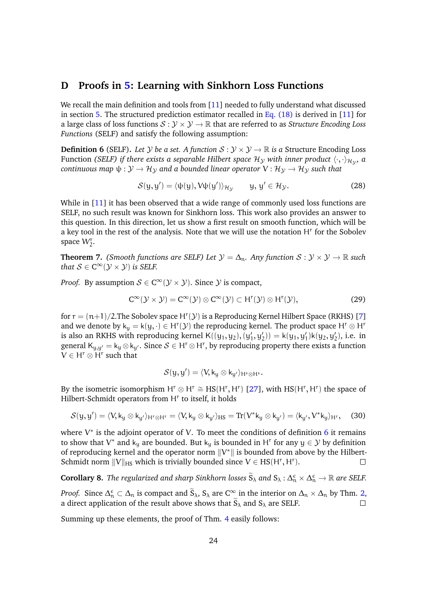# <span id="page-23-0"></span>**D Proofs in [5:](#page-8-0) Learning with Sinkhorn Loss Functions**

We recall the main definition and tools from [\[11\]](#page-13-2) needed to fully understand what discussed in section [5.](#page-8-0) The structured prediction estimator recalled in Eq.  $(18)$  is derived in [\[11\]](#page-13-2) for a large class of loss functions  $S: \mathcal{Y} \times \mathcal{Y} \to \mathbb{R}$  that are referred to as *Structure Encoding Loss Functions* (SELF) and satisfy the following assumption:

<span id="page-23-1"></span>**Definition 6** (SELF). Let *Y* be a set. A function  $S: Y \times Y \rightarrow \mathbb{R}$  is a Structure Encoding Loss Function *(SELF) if there exists a separable Hilbert space*  $\mathcal{H}_\mathcal{Y}$  *with inner product*  $\langle\cdot,\cdot\rangle_{\mathcal{H}_\mathcal{Y}}$ *, a continuous map*  $\psi : \mathcal{Y} \to \mathcal{H}_{\mathcal{Y}}$  *and a bounded linear operator*  $V : \mathcal{H}_{\mathcal{Y}} \to \mathcal{H}_{\mathcal{Y}}$  *such that* 

$$
S(y, y') = \langle \psi(y), V\psi(y') \rangle_{\mathcal{H}_{\mathcal{Y}}} \qquad y, y' \in \mathcal{H}_{\mathcal{Y}}.
$$
 (28)

While in [\[11\]](#page-13-2) it has been observed that a wide range of commonly used loss functions are SELF, no such result was known for Sinkhorn loss. This work also provides an answer to this question. In this direction, let us show a first result on smooth function, which will be a key tool in the rest of the analysis. Note that we will use the notation  $H<sup>r</sup>$  for the Sobolev space  $W_2^r$ .

<span id="page-23-2"></span>**Theorem 7.** *(Smooth functions are SELF) Let*  $\mathcal{Y} = \Delta_n$ *. Any function*  $S : \mathcal{Y} \times \mathcal{Y} \to \mathbb{R}$  *such* that  $\mathcal{S} \in \mathrm{C}^\infty(\mathcal{Y} \times \mathcal{Y})$  is SELF.

*Proof.* By assumption  $\mathcal{S} \in \mathrm{C}^\infty(\mathcal{Y} \times \mathcal{Y})$ . Since  $\mathcal Y$  is compact,

$$
C^{\infty}(\mathcal{Y}\times\mathcal{Y})=C^{\infty}(\mathcal{Y})\otimes C^{\infty}(\mathcal{Y})\subset H^{r}(\mathcal{Y})\otimes H^{r}(\mathcal{Y}), \qquad (29)
$$

for  $r = (n+1)/2$ . The Sobolev space  $H^{r}(\mathcal{Y})$  is a Reproducing Kernel Hilbert Space (RKHS) [\[7\]](#page-13-10) and we denote by  $k_y = k(y, \cdot) \in H^r(\mathcal{Y})$  the reproducing kernel. The product space  $H^r \otimes H^r$ is also an RKHS with reproducing kernel  $\mathsf{K}((y_1, y_2), (y_1', y_2')) = \mathsf{k}(y_1, y_1')\mathsf{k}(y_2, y_2'),$  i.e. in general  $K_{y,y'} = k_y \otimes k_{y'}$ . Since  $S \in H^r \otimes H^r$ , by reproducing property there exists a function  $V \in H^r \otimes H^r$  such that

$$
\mathcal{S}(y,y')=\langle V,k_y\otimes k_{y'}\rangle_{H^s\otimes H^s}.
$$

By the isometric isomorphism  $H^r \otimes H^r \cong HS(H^r, H^r)$  [\[27\]](#page-15-13), with  $HS(H^r, H^r)$  the space of Hilbert-Schmidt operators from H<sup>r</sup> to itself, it holds

$$
\mathcal{S}(y, y') = \langle V, k_y \otimes k_{y'} \rangle_{H^r \otimes H^r} = \langle V, k_y \otimes k_{y'} \rangle_{HS} = \text{Tr}(V^* k_y \otimes k_{y'}) = \langle k_{y'}, V^* k_{y} \rangle_{H^r}, \quad (30)
$$

where  $V^*$  is the adjoint operator of V. To meet the conditions of definition [6](#page-23-1) it remains to show that V<sup>\*</sup> and k<sub>y</sub> are bounded. But k<sub>y</sub> is bounded in H<sup>r</sup> for any  $y \in \mathcal{Y}$  by definition of reproducing kernel and the operator norm  $||V^*||$  is bounded from above by the Hilbert-Schmidt norm  $||V||_{HS}$  which is trivially bounded since  $V \in HS(H^{\tau}, H^{\tau})$ .  $\Box$ 

**Corollary 8.** *The regularized and sharp Sinkhorn losses*  $\widetilde{S}_{\lambda}$  *and*  $S_{\lambda}$  :  $\Delta_n^{\epsilon} \times \Delta_n^{\epsilon} \to \mathbb{R}$  *are SELF.* 

*Proof.* Since  $\Delta_n^{\epsilon} \subset \Delta_n$  is compact and  $\widetilde{S}_{\lambda}$ ,  $S_{\lambda}$  are  $C^{\infty}$  in the interior on  $\Delta_n \times \Delta_n$  by Thm. [2,](#page-5-0) a direct application of the result above shows that  $S_\lambda$  and  $S_\lambda$  are SELF.  $\Box$ 

Summing up these elements, the proof of Thm. [4](#page-9-1) easily follows: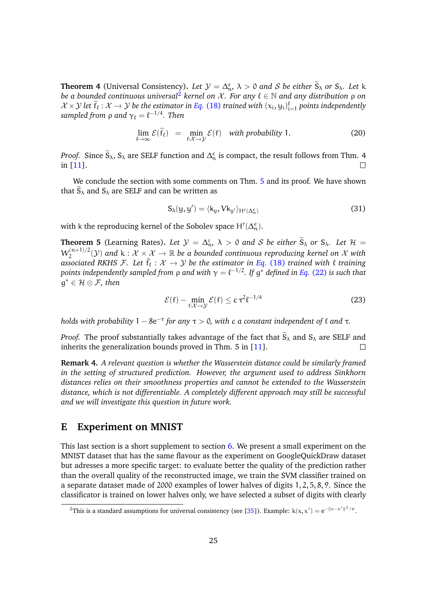**Theorem 4** (Universal Consistency). Let  $\mathcal{Y} = \Delta_{\mathfrak{w}}^{\epsilon}$ ,  $\lambda > 0$  and S be either  $\widetilde{S}_{\lambda}$  or  $S_{\lambda}$ . Let k *be a bounded continuous universal<sup>[2](#page-24-0)</sup> kernel on X. For any*  $\ell \in \mathbb{N}$  *and any distribution*  $\rho$  *on*  $\mathcal{X} \times \mathcal{Y}$  let  $\hat{f}_\ell : \mathcal{X} \to \mathcal{Y}$  be the estimator in Eq. [\(18\)](#page-8-1) trained with  $(x_i, y_i)_{i=1}^{\ell}$  points independently  $\mathit{sampled}$  from  $\rho$  and  $\gamma_\ell = \ell^{-1/4}.$  Then

$$
\lim_{\ell \to \infty} \mathcal{E}(\hat{f}_{\ell}) = \min_{f: \mathcal{X} \to \mathcal{Y}} \mathcal{E}(f) \quad \text{with probability 1.}
$$
 (20)

*Proof.* Since  $\widetilde{S}_\lambda$ ,  $S_\lambda$  are SELF function and  $\Delta_n^{\epsilon}$  is compact, the result follows from Thm. 4 in [\[11\]](#page-13-2).  $\Box$ 

We conclude the section with some comments on Thm. [5](#page-10-1) and its proof. We have shown that  $\tilde{S}_{\lambda}$  and  $S_{\lambda}$  are SELF and can be written as

$$
S_{\lambda}(y, y') = \langle k_y, V k_{y'} \rangle_{H^r(\Delta_n^{\varepsilon})}
$$
\n(31)

with k the reproducing kernel of the Sobolev space  $H^r(\Delta_n^{\varepsilon})$ .

**Theorem 5** (Learning Rates). Let  $\mathcal{Y} = \Delta_{n}^{\varepsilon}$ ,  $\lambda > 0$  and S be either  $\widetilde{S}_{\lambda}$  or  $S_{\lambda}$ . Let  $\mathcal{H} =$  $W_2^{(n+1)/2}$  $Z_2^{(n+1)/2}(\mathcal{Y})$  and  $k : \mathcal{X} \times \mathcal{X} \to \mathbb{R}$  *be a bounded continuous reproducing kernel on*  $\mathcal{X}$  *with associated RKHS F. Let*  $\hat{f}_l : \mathcal{X} \to \mathcal{Y}$  *be the estimator in Eq.* [\(18\)](#page-8-1) *trained with*  $\ell$  *training* points independently sampled from ρ and with  $\gamma = \ell^{-1/2}$ . If  $g^*$  defined in Eq. [\(22\)](#page-10-0) is such that g <sup>∗</sup> ∈ H ⊗ F*, then*

$$
\mathcal{E}(\mathbf{f}) - \min_{\mathbf{f}: \mathcal{X} \to \mathcal{Y}} \mathcal{E}(\mathbf{f}) \le c \,\tau^2 \ell^{-1/4} \tag{23}
$$

*holds with probability*  $1 - 8e^{-\tau}$  *for any*  $\tau > 0$ , with c a constant independent of  $\ell$  and  $\tau$ .

*Proof.* The proof substantially takes advantage of the fact that  $S_\lambda$  and  $S_\lambda$  are SELF and inherits the generalization bounds proved in Thm. 5 in [11]. inherits the generalization bounds proved in Thm. 5 in [\[11\]](#page-13-2).

**Remark 4.** *A relevant question is whether the Wasserstein distance could be similarly framed in the setting of structured prediction. However, the argument used to address Sinkhorn distances relies on their smoothness properties and cannot be extended to the Wasserstein distance, which is not differentiable. A completely different approach may still be successful and we will investigate this question in future work.*

## **E Experiment on MNIST**

This last section is a short supplement to section  $6$ . We present a small experiment on the MNIST dataset that has the same flavour as the experiment on GoogleQuickDraw dataset but adresses a more specific target: to evaluate better the quality of the prediction rather than the overall quality of the reconstructed image, we train the SVM classifier trained on a separate dataset made of 2000 examples of lower halves of digits 1, 2, 5, 8, 9. Since the classificator is trained on lower halves only, we have selected a subset of digits with clearly

<span id="page-24-0"></span><sup>&</sup>lt;sup>2</sup>This is a standard assumptions for universal consistency (see [\[35\]](#page-15-6)). Example:  $k(x, x') = e^{-\|x - x'\|^2/\sigma}$ .